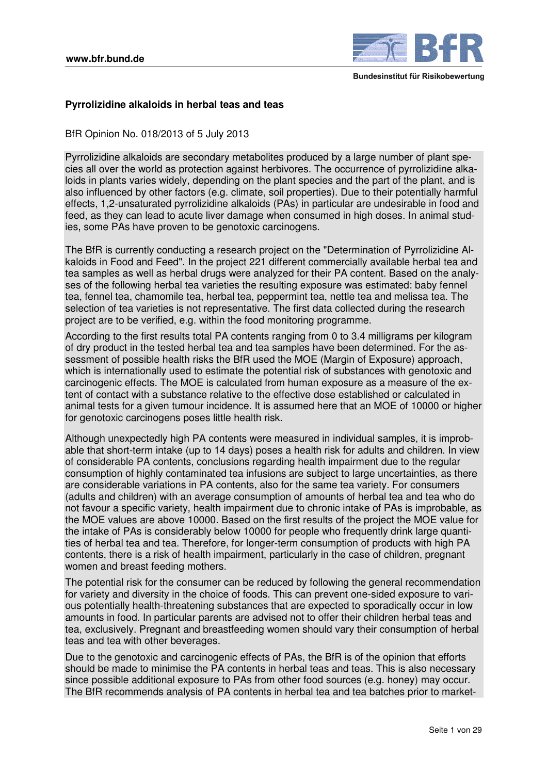

# **Pyrrolizidine alkaloids in herbal teas and teas**

BfR Opinion No. 018/2013 of 5 July 2013

Pyrrolizidine alkaloids are secondary metabolites produced by a large number of plant species all over the world as protection against herbivores. The occurrence of pyrrolizidine alkaloids in plants varies widely, depending on the plant species and the part of the plant, and is also influenced by other factors (e.g. climate, soil properties). Due to their potentially harmful effects, 1,2-unsaturated pyrrolizidine alkaloids (PAs) in particular are undesirable in food and feed, as they can lead to acute liver damage when consumed in high doses. In animal studies, some PAs have proven to be genotoxic carcinogens.

The BfR is currently conducting a research project on the "Determination of Pyrrolizidine Alkaloids in Food and Feed". In the project 221 different commercially available herbal tea and tea samples as well as herbal drugs were analyzed for their PA content. Based on the analyses of the following herbal tea varieties the resulting exposure was estimated: baby fennel tea, fennel tea, chamomile tea, herbal tea, peppermint tea, nettle tea and melissa tea. The selection of tea varieties is not representative. The first data collected during the research project are to be verified, e.g. within the food monitoring programme.

According to the first results total PA contents ranging from 0 to 3.4 milligrams per kilogram of dry product in the tested herbal tea and tea samples have been determined. For the assessment of possible health risks the BfR used the MOE (Margin of Exposure) approach, which is internationally used to estimate the potential risk of substances with genotoxic and carcinogenic effects. The MOE is calculated from human exposure as a measure of the extent of contact with a substance relative to the effective dose established or calculated in animal tests for a given tumour incidence. It is assumed here that an MOE of 10000 or higher for genotoxic carcinogens poses little health risk.

Although unexpectedly high PA contents were measured in individual samples, it is improbable that short-term intake (up to 14 days) poses a health risk for adults and children. In view of considerable PA contents, conclusions regarding health impairment due to the regular consumption of highly contaminated tea infusions are subject to large uncertainties, as there are considerable variations in PA contents, also for the same tea variety. For consumers (adults and children) with an average consumption of amounts of herbal tea and tea who do not favour a specific variety, health impairment due to chronic intake of PAs is improbable, as the MOE values are above 10000. Based on the first results of the project the MOE value for the intake of PAs is considerably below 10000 for people who frequently drink large quantities of herbal tea and tea. Therefore, for longer-term consumption of products with high PA contents, there is a risk of health impairment, particularly in the case of children, pregnant women and breast feeding mothers.

The potential risk for the consumer can be reduced by following the general recommendation for variety and diversity in the choice of foods. This can prevent one-sided exposure to various potentially health-threatening substances that are expected to sporadically occur in low amounts in food. In particular parents are advised not to offer their children herbal teas and tea, exclusively. Pregnant and breastfeeding women should vary their consumption of herbal teas and tea with other beverages.

Due to the genotoxic and carcinogenic effects of PAs, the BfR is of the opinion that efforts should be made to minimise the PA contents in herbal teas and teas. This is also necessary since possible additional exposure to PAs from other food sources (e.g. honey) may occur. The BfR recommends analysis of PA contents in herbal tea and tea batches prior to market-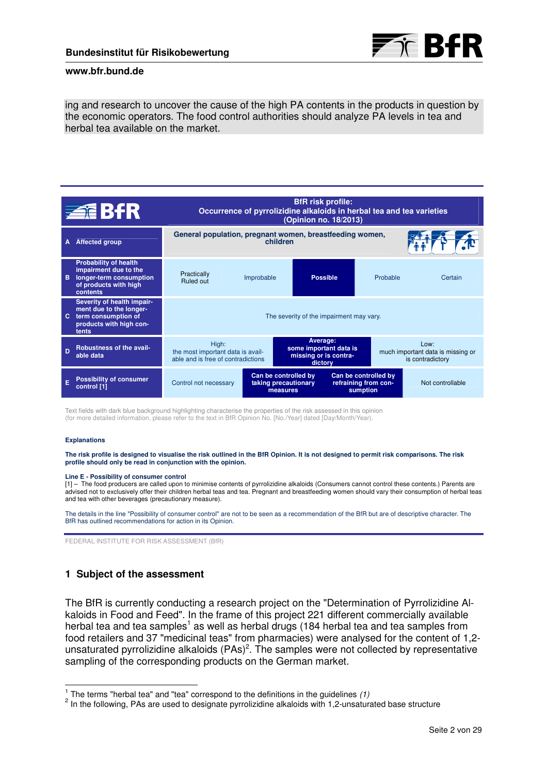

ing and research to uncover the cause of the high PA contents in the products in question by the economic operators. The food control authorities should analyze PA levels in tea and herbal tea available on the market.

|    | 追 313                                                                                                                 | <b>BfR</b> risk profile:<br>Occurrence of pyrrolizidine alkaloids in herbal tea and tea varieties<br>(Opinion no. 18/2013) |                                                          |                                                                        |                                                          |                                                               |  |
|----|-----------------------------------------------------------------------------------------------------------------------|----------------------------------------------------------------------------------------------------------------------------|----------------------------------------------------------|------------------------------------------------------------------------|----------------------------------------------------------|---------------------------------------------------------------|--|
| A  | <b>Affected group</b>                                                                                                 | General population, pregnant women, breastfeeding women,<br>children                                                       |                                                          |                                                                        |                                                          |                                                               |  |
| B  | <b>Probability of health</b><br>impairment due to the<br>longer-term consumption<br>of products with high<br>contents | Practically<br>Ruled out                                                                                                   | Improbable                                               | <b>Possible</b>                                                        | Probable                                                 | Certain                                                       |  |
| C. | Severity of health impair-<br>ment due to the longer-<br>term consumption of<br>products with high con-<br>tents      | The severity of the impairment may vary.                                                                                   |                                                          |                                                                        |                                                          |                                                               |  |
| D  | <b>Robustness of the avail-</b><br>able data                                                                          | High:<br>the most important data is avail-<br>able and is free of contradictions                                           |                                                          | Average:<br>some important data is<br>missing or is contra-<br>dictory |                                                          | Low:<br>much important data is missing or<br>is contradictory |  |
|    | <b>Possibility of consumer</b><br>control [1]                                                                         | Control not necessary                                                                                                      | Can be controlled by<br>taking precautionary<br>measures |                                                                        | Can be controlled by<br>refraining from con-<br>sumption | Not controllable                                              |  |

Text fields with dark blue background highlighting characterise the properties of the risk assessed in this opinion (for more detailed information, please refer to the text in BfR Opinion No. [No./Year] dated [Day/Month/Year).

#### **Explanations**

**The risk profile is designed to visualise the risk outlined in the BfR Opinion. It is not designed to permit risk comparisons. The risk profile should only be read in conjunction with the opinion.**

#### **Line E - Possibility of consumer control**

[1] – The food producers are called upon to minimise contents of pyrrolizidine alkaloids (Consumers cannot control these contents.) Parents are advised not to exclusively offer their children herbal teas and tea. Pregnant and breastfeeding women should vary their consumption of herbal teas and tea with other beverages (precautionary measure).

The details in the line "Possibility of consumer control" are not to be seen as a recommendation of the BfR but are of descriptive character. The BfR has outlined recommendations for action in its Opinion.

FEDERAL INSTITUTE FOR RISK ASSESSMENT (BfR)

# **1 Subject of the assessment**

The BfR is currently conducting a research project on the "Determination of Pyrrolizidine Alkaloids in Food and Feed". In the frame of this project 221 different commercially available herbal tea and tea samples<sup>1</sup> as well as herbal drugs (184 herbal tea and tea samples from food retailers and 37 "medicinal teas" from pharmacies) were analysed for the content of 1,2 unsaturated pyrrolizidine alkaloids (PAs)<sup>2</sup>. The samples were not collected by representative sampling of the corresponding products on the German market.

 $\frac{1}{2}$  The terms "herbal tea" and "tea" correspond to the definitions in the guidelines (1)

 $^2$  In the following, PAs are used to designate pyrrolizidine alkaloids with 1,2-unsaturated base structure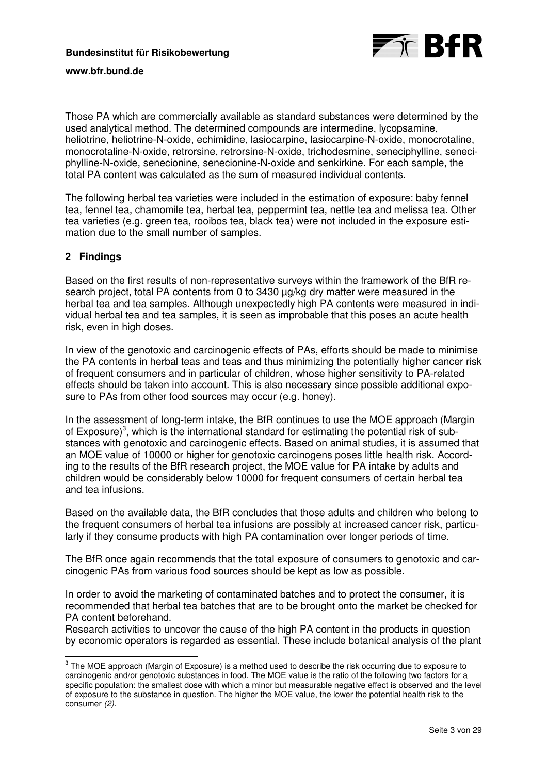

Those PA which are commercially available as standard substances were determined by the used analytical method. The determined compounds are intermedine, lycopsamine, heliotrine, heliotrine-N-oxide, echimidine, lasiocarpine, lasiocarpine-N-oxide, monocrotaline, monocrotaline-N-oxide, retrorsine, retrorsine-N-oxide, trichodesmine, seneciphylline, seneciphylline-N-oxide, senecionine, senecionine-N-oxide and senkirkine. For each sample, the total PA content was calculated as the sum of measured individual contents.

The following herbal tea varieties were included in the estimation of exposure: baby fennel tea, fennel tea, chamomile tea, herbal tea, peppermint tea, nettle tea and melissa tea. Other tea varieties (e.g. green tea, rooibos tea, black tea) were not included in the exposure estimation due to the small number of samples.

# **2 Findings**

Based on the first results of non-representative surveys within the framework of the BfR research project, total PA contents from 0 to 3430 µg/kg dry matter were measured in the herbal tea and tea samples. Although unexpectedly high PA contents were measured in individual herbal tea and tea samples, it is seen as improbable that this poses an acute health risk, even in high doses.

In view of the genotoxic and carcinogenic effects of PAs, efforts should be made to minimise the PA contents in herbal teas and teas and thus minimizing the potentially higher cancer risk of frequent consumers and in particular of children, whose higher sensitivity to PA-related effects should be taken into account. This is also necessary since possible additional exposure to PAs from other food sources may occur (e.g. honey).

In the assessment of long-term intake, the BfR continues to use the MOE approach (Margin of Exposure)<sup>3</sup>, which is the international standard for estimating the potential risk of substances with genotoxic and carcinogenic effects. Based on animal studies, it is assumed that an MOE value of 10000 or higher for genotoxic carcinogens poses little health risk. According to the results of the BfR research project, the MOE value for PA intake by adults and children would be considerably below 10000 for frequent consumers of certain herbal tea and tea infusions.

Based on the available data, the BfR concludes that those adults and children who belong to the frequent consumers of herbal tea infusions are possibly at increased cancer risk, particularly if they consume products with high PA contamination over longer periods of time.

The BfR once again recommends that the total exposure of consumers to genotoxic and carcinogenic PAs from various food sources should be kept as low as possible.

In order to avoid the marketing of contaminated batches and to protect the consumer, it is recommended that herbal tea batches that are to be brought onto the market be checked for PA content beforehand.

Research activities to uncover the cause of the high PA content in the products in question by economic operators is regarded as essential. These include botanical analysis of the plant

 3 The MOE approach (Margin of Exposure) is a method used to describe the risk occurring due to exposure to carcinogenic and/or genotoxic substances in food. The MOE value is the ratio of the following two factors for a specific population: the smallest dose with which a minor but measurable negative effect is observed and the level of exposure to the substance in question. The higher the MOE value, the lower the potential health risk to the consumer (2).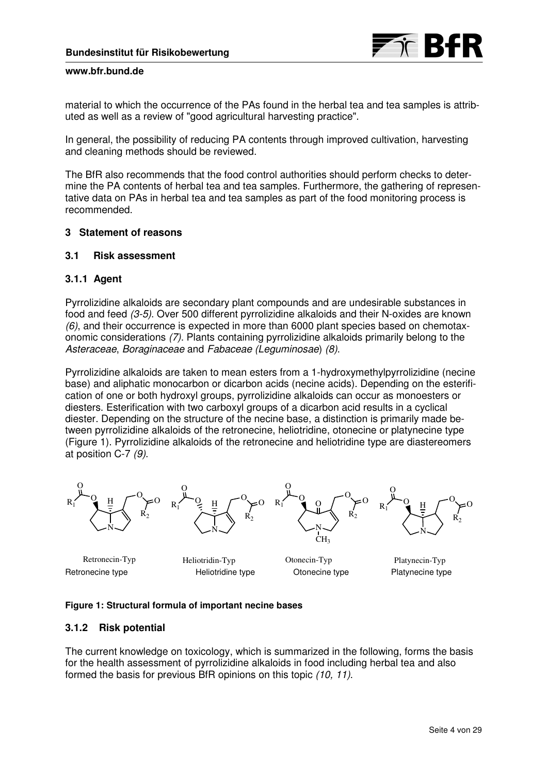

material to which the occurrence of the PAs found in the herbal tea and tea samples is attributed as well as a review of "good agricultural harvesting practice".

In general, the possibility of reducing PA contents through improved cultivation, harvesting and cleaning methods should be reviewed.

The BfR also recommends that the food control authorities should perform checks to determine the PA contents of herbal tea and tea samples. Furthermore, the gathering of representative data on PAs in herbal tea and tea samples as part of the food monitoring process is recommended.

# **3 Statement of reasons**

# **3.1 Risk assessment**

# **3.1.1 Agent**

Pyrrolizidine alkaloids are secondary plant compounds and are undesirable substances in food and feed (3-5). Over 500 different pyrrolizidine alkaloids and their N-oxides are known (6), and their occurrence is expected in more than 6000 plant species based on chemotaxonomic considerations (7). Plants containing pyrrolizidine alkaloids primarily belong to the Asteraceae, Boraginaceae and Fabaceae (Leguminosae) (8).

Pyrrolizidine alkaloids are taken to mean esters from a 1-hydroxymethylpyrrolizidine (necine base) and aliphatic monocarbon or dicarbon acids (necine acids). Depending on the esterification of one or both hydroxyl groups, pyrrolizidine alkaloids can occur as monoesters or diesters. Esterification with two carboxyl groups of a dicarbon acid results in a cyclical diester. Depending on the structure of the necine base, a distinction is primarily made between pyrrolizidine alkaloids of the retronecine, heliotridine, otonecine or platynecine type (Figure 1). Pyrrolizidine alkaloids of the retronecine and heliotridine type are diastereomers at position C-7 (9).



Retronecine type **Heliotridine type** Otonecine type Platynecine type

Retronecin-Typ Heliotridin-Typ Otonecin-Typ Platynecin-Typ

### **Figure 1: Structural formula of important necine bases**

### **3.1.2 Risk potential**

The current knowledge on toxicology, which is summarized in the following, forms the basis for the health assessment of pyrrolizidine alkaloids in food including herbal tea and also formed the basis for previous BfR opinions on this topic (10, 11).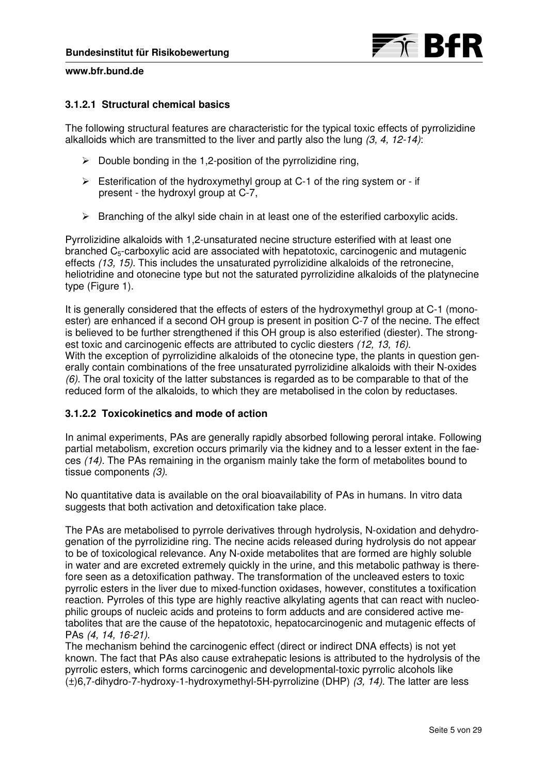

# **3.1.2.1 Structural chemical basics**

The following structural features are characteristic for the typical toxic effects of pyrrolizidine alkalloids which are transmitted to the liver and partly also the lung  $(3, 4, 12-14)$ :

- $\triangleright$  Double bonding in the 1,2-position of the pyrrolizidine ring,
- $\triangleright$  Esterification of the hydroxymethyl group at C-1 of the ring system or if present - the hydroxyl group at C-7,
- $\triangleright$  Branching of the alkyl side chain in at least one of the esterified carboxylic acids.

Pyrrolizidine alkaloids with 1,2-unsaturated necine structure esterified with at least one branched  $C_5$ -carboxylic acid are associated with hepatotoxic, carcinogenic and mutagenic effects (13, 15). This includes the unsaturated pyrrolizidine alkaloids of the retronecine, heliotridine and otonecine type but not the saturated pyrrolizidine alkaloids of the platynecine type (Figure 1).

It is generally considered that the effects of esters of the hydroxymethyl group at C-1 (monoester) are enhanced if a second OH group is present in position C-7 of the necine. The effect is believed to be further strengthened if this OH group is also esterified (diester). The strongest toxic and carcinogenic effects are attributed to cyclic diesters (12, 13, 16). With the exception of pyrrolizidine alkaloids of the otonecine type, the plants in question generally contain combinations of the free unsaturated pyrrolizidine alkaloids with their N-oxides  $(6)$ . The oral toxicity of the latter substances is regarded as to be comparable to that of the reduced form of the alkaloids, to which they are metabolised in the colon by reductases.

### **3.1.2.2 Toxicokinetics and mode of action**

In animal experiments, PAs are generally rapidly absorbed following peroral intake. Following partial metabolism, excretion occurs primarily via the kidney and to a lesser extent in the faeces (14). The PAs remaining in the organism mainly take the form of metabolites bound to tissue components (3).

No quantitative data is available on the oral bioavailability of PAs in humans. In vitro data suggests that both activation and detoxification take place.

The PAs are metabolised to pyrrole derivatives through hydrolysis, N-oxidation and dehydrogenation of the pyrrolizidine ring. The necine acids released during hydrolysis do not appear to be of toxicological relevance. Any N-oxide metabolites that are formed are highly soluble in water and are excreted extremely quickly in the urine, and this metabolic pathway is therefore seen as a detoxification pathway. The transformation of the uncleaved esters to toxic pyrrolic esters in the liver due to mixed-function oxidases, however, constitutes a toxification reaction. Pyrroles of this type are highly reactive alkylating agents that can react with nucleophilic groups of nucleic acids and proteins to form adducts and are considered active metabolites that are the cause of the hepatotoxic, hepatocarcinogenic and mutagenic effects of PAs (4, 14, 16-21).

The mechanism behind the carcinogenic effect (direct or indirect DNA effects) is not yet known. The fact that PAs also cause extrahepatic lesions is attributed to the hydrolysis of the pyrrolic esters, which forms carcinogenic and developmental-toxic pyrrolic alcohols like  $(\pm)$ 6,7-dihydro-7-hydroxy-1-hydroxymethyl-5H-pyrrolizine (DHP) (3, 14). The latter are less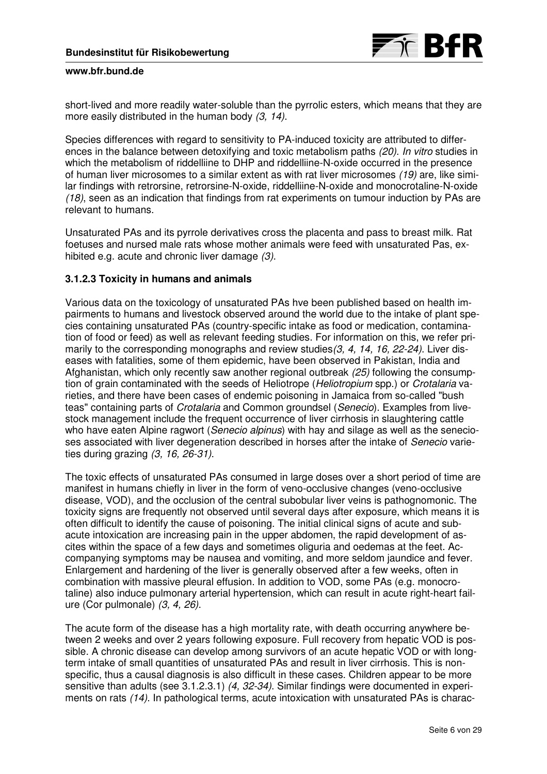short-lived and more readily water-soluble than the pyrrolic esters, which means that they are more easily distributed in the human body (3, 14).

Species differences with regard to sensitivity to PA-induced toxicity are attributed to differences in the balance between detoxifying and toxic metabolism paths (20). In vitro studies in which the metabolism of riddelliine to DHP and riddelliine-N-oxide occurred in the presence of human liver microsomes to a similar extent as with rat liver microsomes (19) are, like similar findings with retrorsine, retrorsine-N-oxide, riddelliine-N-oxide and monocrotaline-N-oxide (18), seen as an indication that findings from rat experiments on tumour induction by PAs are relevant to humans.

Unsaturated PAs and its pyrrole derivatives cross the placenta and pass to breast milk. Rat foetuses and nursed male rats whose mother animals were feed with unsaturated Pas, exhibited e.g. acute and chronic liver damage (3).

# **3.1.2.3 Toxicity in humans and animals**

Various data on the toxicology of unsaturated PAs hve been published based on health impairments to humans and livestock observed around the world due to the intake of plant species containing unsaturated PAs (country-specific intake as food or medication, contamination of food or feed) as well as relevant feeding studies. For information on this, we refer primarily to the corresponding monographs and review studies(3, 4, 14, 16, 22-24). Liver diseases with fatalities, some of them epidemic, have been observed in Pakistan, India and Afghanistan, which only recently saw another regional outbreak (25) following the consumption of grain contaminated with the seeds of Heliotrope (Heliotropium spp.) or Crotalaria varieties, and there have been cases of endemic poisoning in Jamaica from so-called "bush teas" containing parts of Crotalaria and Common groundsel (Senecio). Examples from livestock management include the frequent occurrence of liver cirrhosis in slaughtering cattle who have eaten Alpine ragwort (*Senecio alpinus*) with hay and silage as well as the senecioses associated with liver degeneration described in horses after the intake of Senecio varieties during grazing (3, 16, 26-31).

The toxic effects of unsaturated PAs consumed in large doses over a short period of time are manifest in humans chiefly in liver in the form of veno-occlusive changes (veno-occlusive disease, VOD), and the occlusion of the central subobular liver veins is pathognomonic. The toxicity signs are frequently not observed until several days after exposure, which means it is often difficult to identify the cause of poisoning. The initial clinical signs of acute and subacute intoxication are increasing pain in the upper abdomen, the rapid development of ascites within the space of a few days and sometimes oliguria and oedemas at the feet. Accompanying symptoms may be nausea and vomiting, and more seldom jaundice and fever. Enlargement and hardening of the liver is generally observed after a few weeks, often in combination with massive pleural effusion. In addition to VOD, some PAs (e.g. monocrotaline) also induce pulmonary arterial hypertension, which can result in acute right-heart failure (Cor pulmonale) (3, 4, 26).

The acute form of the disease has a high mortality rate, with death occurring anywhere between 2 weeks and over 2 years following exposure. Full recovery from hepatic VOD is possible. A chronic disease can develop among survivors of an acute hepatic VOD or with longterm intake of small quantities of unsaturated PAs and result in liver cirrhosis. This is nonspecific, thus a causal diagnosis is also difficult in these cases. Children appear to be more sensitive than adults (see 3.1.2.3.1) (4, 32-34). Similar findings were documented in experiments on rats (14). In pathological terms, acute intoxication with unsaturated PAs is charac-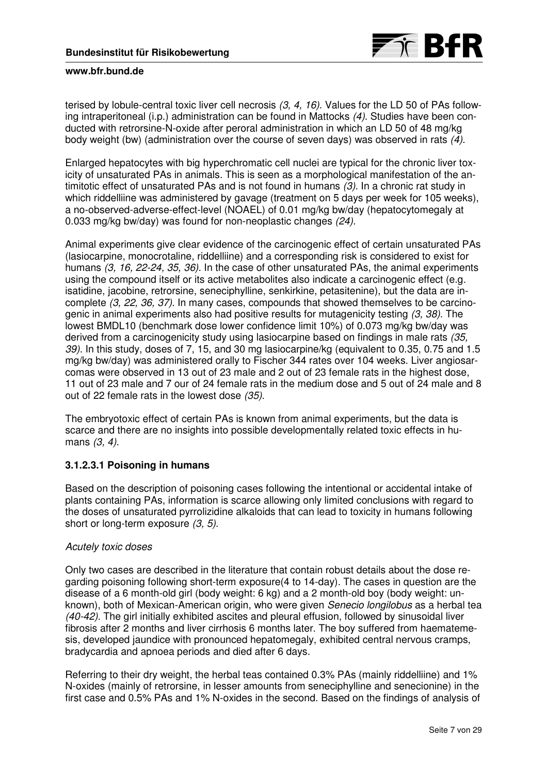

terised by lobule-central toxic liver cell necrosis (3, 4, 16). Values for the LD 50 of PAs following intraperitoneal (i.p.) administration can be found in Mattocks (4). Studies have been conducted with retrorsine-N-oxide after peroral administration in which an LD 50 of 48 mg/kg body weight (bw) (administration over the course of seven days) was observed in rats (4).

Enlarged hepatocytes with big hyperchromatic cell nuclei are typical for the chronic liver toxicity of unsaturated PAs in animals. This is seen as a morphological manifestation of the antimitotic effect of unsaturated PAs and is not found in humans (3). In a chronic rat study in which riddelliine was administered by gavage (treatment on 5 days per week for 105 weeks), a no-observed-adverse-effect-level (NOAEL) of 0.01 mg/kg bw/day (hepatocytomegaly at 0.033 mg/kg bw/day) was found for non-neoplastic changes (24).

Animal experiments give clear evidence of the carcinogenic effect of certain unsaturated PAs (lasiocarpine, monocrotaline, riddelliine) and a corresponding risk is considered to exist for humans (3, 16, 22-24, 35, 36). In the case of other unsaturated PAs, the animal experiments using the compound itself or its active metabolites also indicate a carcinogenic effect (e.g. isatidine, jacobine, retrorsine, seneciphylline, senkirkine, petasitenine), but the data are incomplete (3, 22, 36, 37). In many cases, compounds that showed themselves to be carcinogenic in animal experiments also had positive results for mutagenicity testing (3, 38). The lowest BMDL10 (benchmark dose lower confidence limit 10%) of 0.073 mg/kg bw/day was derived from a carcinogenicity study using lasiocarpine based on findings in male rats (35, 39). In this study, doses of 7, 15, and 30 mg lasiocarpine/kg (equivalent to 0.35, 0.75 and 1.5 mg/kg bw/day) was administered orally to Fischer 344 rates over 104 weeks. Liver angiosarcomas were observed in 13 out of 23 male and 2 out of 23 female rats in the highest dose, 11 out of 23 male and 7 our of 24 female rats in the medium dose and 5 out of 24 male and 8 out of 22 female rats in the lowest dose (35).

The embryotoxic effect of certain PAs is known from animal experiments, but the data is scarce and there are no insights into possible developmentally related toxic effects in humans (3, 4).

# **3.1.2.3.1 Poisoning in humans**

Based on the description of poisoning cases following the intentional or accidental intake of plants containing PAs, information is scarce allowing only limited conclusions with regard to the doses of unsaturated pyrrolizidine alkaloids that can lead to toxicity in humans following short or long-term exposure (3, 5).

# Acutely toxic doses

Only two cases are described in the literature that contain robust details about the dose regarding poisoning following short-term exposure(4 to 14-day). The cases in question are the disease of a 6 month-old girl (body weight: 6 kg) and a 2 month-old boy (body weight: unknown), both of Mexican-American origin, who were given Senecio longilobus as a herbal tea (40-42). The girl initially exhibited ascites and pleural effusion, followed by sinusoidal liver fibrosis after 2 months and liver cirrhosis 6 months later. The boy suffered from haematemesis, developed jaundice with pronounced hepatomegaly, exhibited central nervous cramps, bradycardia and apnoea periods and died after 6 days.

Referring to their dry weight, the herbal teas contained 0.3% PAs (mainly riddelliine) and 1% N-oxides (mainly of retrorsine, in lesser amounts from seneciphylline and senecionine) in the first case and 0.5% PAs and 1% N-oxides in the second. Based on the findings of analysis of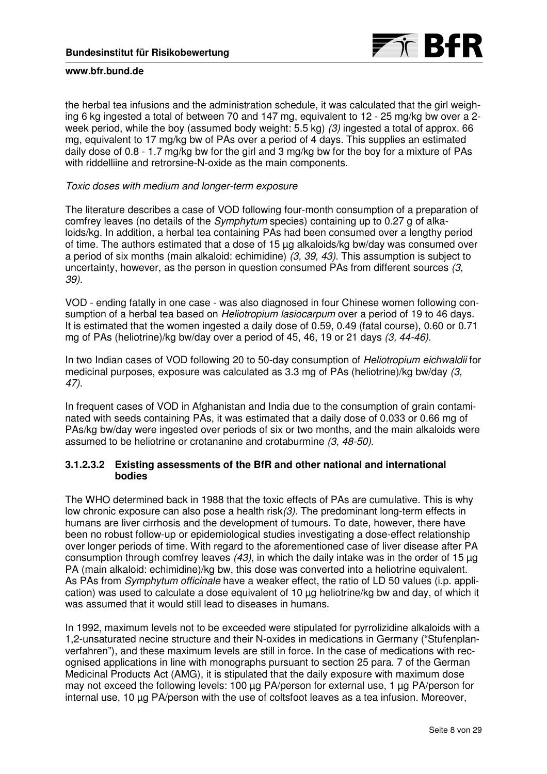

the herbal tea infusions and the administration schedule, it was calculated that the girl weighing 6 kg ingested a total of between 70 and 147 mg, equivalent to 12 - 25 mg/kg bw over a 2 week period, while the boy (assumed body weight: 5.5 kg) (3) ingested a total of approx. 66 mg, equivalent to 17 mg/kg bw of PAs over a period of 4 days. This supplies an estimated daily dose of 0.8 - 1.7 mg/kg bw for the girl and 3 mg/kg bw for the boy for a mixture of PAs with riddelliine and retrorsine-N-oxide as the main components.

## Toxic doses with medium and longer-term exposure

The literature describes a case of VOD following four-month consumption of a preparation of comfrey leaves (no details of the Symphytum species) containing up to 0.27 g of alkaloids/kg. In addition, a herbal tea containing PAs had been consumed over a lengthy period of time. The authors estimated that a dose of 15 µg alkaloids/kg bw/day was consumed over a period of six months (main alkaloid: echimidine)  $(3, 39, 43)$ . This assumption is subject to uncertainty, however, as the person in question consumed PAs from different sources (3, 39).

VOD - ending fatally in one case - was also diagnosed in four Chinese women following consumption of a herbal tea based on *Heliotropium lasiocarpum* over a period of 19 to 46 days. It is estimated that the women ingested a daily dose of 0.59, 0.49 (fatal course), 0.60 or 0.71 mg of PAs (heliotrine)/kg bw/day over a period of 45, 46, 19 or 21 days (3, 44-46).

In two Indian cases of VOD following 20 to 50-day consumption of Heliotropium eichwaldii for medicinal purposes, exposure was calculated as 3.3 mg of PAs (heliotrine)/kg bw/day (3, 47).

In frequent cases of VOD in Afghanistan and India due to the consumption of grain contaminated with seeds containing PAs, it was estimated that a daily dose of 0.033 or 0.66 mg of PAs/kg bw/day were ingested over periods of six or two months, and the main alkaloids were assumed to be heliotrine or crotananine and crotaburmine (3, 48-50).

# **3.1.2.3.2 Existing assessments of the BfR and other national and international bodies**

The WHO determined back in 1988 that the toxic effects of PAs are cumulative. This is why low chronic exposure can also pose a health risk(3). The predominant long-term effects in humans are liver cirrhosis and the development of tumours. To date, however, there have been no robust follow-up or epidemiological studies investigating a dose-effect relationship over longer periods of time. With regard to the aforementioned case of liver disease after PA consumption through comfrey leaves  $(43)$ , in which the daily intake was in the order of 15 µg PA (main alkaloid: echimidine)/kg bw, this dose was converted into a heliotrine equivalent. As PAs from *Symphytum officinale* have a weaker effect, the ratio of LD 50 values (i.p. application) was used to calculate a dose equivalent of 10 µg heliotrine/kg bw and day, of which it was assumed that it would still lead to diseases in humans.

In 1992, maximum levels not to be exceeded were stipulated for pyrrolizidine alkaloids with a 1,2-unsaturated necine structure and their N-oxides in medications in Germany ("Stufenplanverfahren"), and these maximum levels are still in force. In the case of medications with recognised applications in line with monographs pursuant to section 25 para. 7 of the German Medicinal Products Act (AMG), it is stipulated that the daily exposure with maximum dose may not exceed the following levels: 100 µg PA/person for external use, 1 µg PA/person for internal use, 10 µg PA/person with the use of coltsfoot leaves as a tea infusion. Moreover,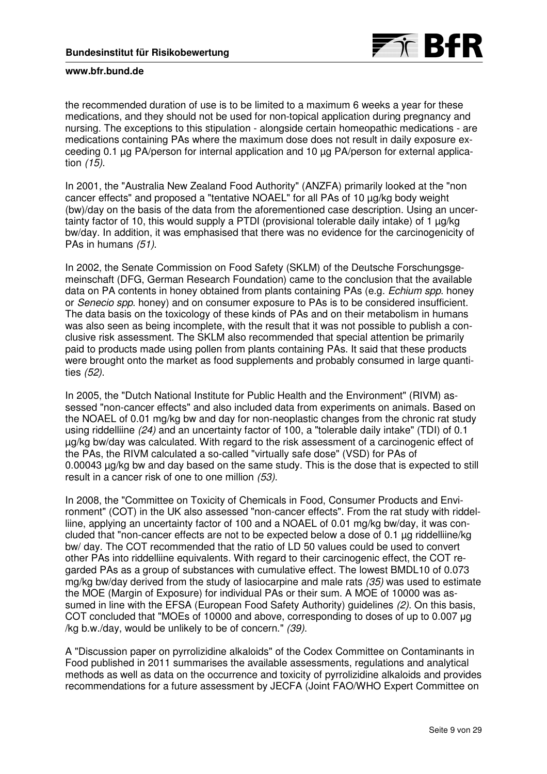

the recommended duration of use is to be limited to a maximum 6 weeks a year for these medications, and they should not be used for non-topical application during pregnancy and nursing. The exceptions to this stipulation - alongside certain homeopathic medications - are medications containing PAs where the maximum dose does not result in daily exposure exceeding 0.1 µg PA/person for internal application and 10 µg PA/person for external application (15).

In 2001, the "Australia New Zealand Food Authority" (ANZFA) primarily looked at the "non cancer effects" and proposed a "tentative NOAEL" for all PAs of 10 µg/kg body weight (bw)/day on the basis of the data from the aforementioned case description. Using an uncertainty factor of 10, this would supply a PTDI (provisional tolerable daily intake) of 1 µg/kg bw/day. In addition, it was emphasised that there was no evidence for the carcinogenicity of PAs in humans (51).

In 2002, the Senate Commission on Food Safety (SKLM) of the Deutsche Forschungsgemeinschaft (DFG, German Research Foundation) came to the conclusion that the available data on PA contents in honey obtained from plants containing PAs (e.g. *Echium spp.* honey or Senecio spp. honey) and on consumer exposure to PAs is to be considered insufficient. The data basis on the toxicology of these kinds of PAs and on their metabolism in humans was also seen as being incomplete, with the result that it was not possible to publish a conclusive risk assessment. The SKLM also recommended that special attention be primarily paid to products made using pollen from plants containing PAs. It said that these products were brought onto the market as food supplements and probably consumed in large quantities (52).

In 2005, the "Dutch National Institute for Public Health and the Environment" (RIVM) assessed "non-cancer effects" and also included data from experiments on animals. Based on the NOAEL of 0.01 mg/kg bw and day for non-neoplastic changes from the chronic rat study using riddelliine (24) and an uncertainty factor of 100, a "tolerable daily intake" (TDI) of 0.1 µg/kg bw/day was calculated. With regard to the risk assessment of a carcinogenic effect of the PAs, the RIVM calculated a so-called "virtually safe dose" (VSD) for PAs of 0.00043 µg/kg bw and day based on the same study. This is the dose that is expected to still result in a cancer risk of one to one million (53).

In 2008, the "Committee on Toxicity of Chemicals in Food, Consumer Products and Environment" (COT) in the UK also assessed "non-cancer effects". From the rat study with riddelliine, applying an uncertainty factor of 100 and a NOAEL of 0.01 mg/kg bw/day, it was concluded that "non-cancer effects are not to be expected below a dose of 0.1 µg riddelliine/kg bw/ day. The COT recommended that the ratio of LD 50 values could be used to convert other PAs into riddelliine equivalents. With regard to their carcinogenic effect, the COT regarded PAs as a group of substances with cumulative effect. The lowest BMDL10 of 0.073 mg/kg bw/day derived from the study of lasiocarpine and male rats (35) was used to estimate the MOE (Margin of Exposure) for individual PAs or their sum. A MOE of 10000 was assumed in line with the EFSA (European Food Safety Authority) guidelines (2). On this basis, COT concluded that "MOEs of 10000 and above, corresponding to doses of up to 0.007 µg /kg b.w./day, would be unlikely to be of concern." (39).

A "Discussion paper on pyrrolizidine alkaloids" of the Codex Committee on Contaminants in Food published in 2011 summarises the available assessments, regulations and analytical methods as well as data on the occurrence and toxicity of pyrrolizidine alkaloids and provides recommendations for a future assessment by JECFA (Joint FAO/WHO Expert Committee on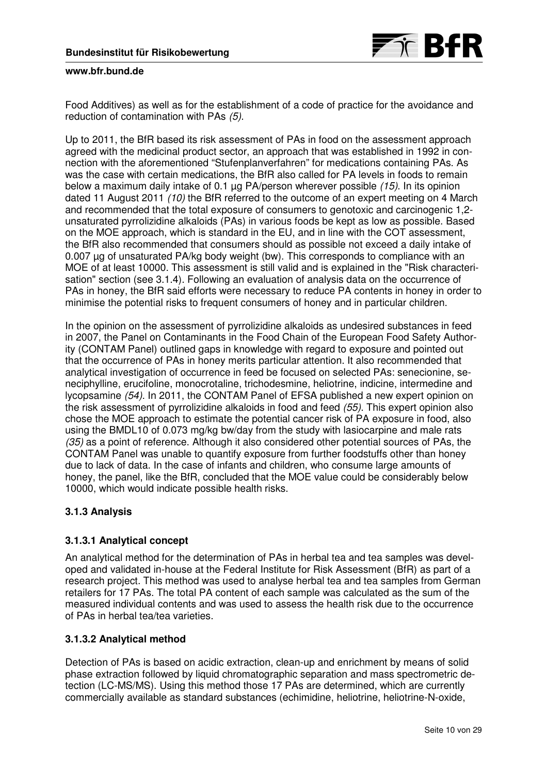

Food Additives) as well as for the establishment of a code of practice for the avoidance and reduction of contamination with PAs (5).

Up to 2011, the BfR based its risk assessment of PAs in food on the assessment approach agreed with the medicinal product sector, an approach that was established in 1992 in connection with the aforementioned "Stufenplanverfahren" for medications containing PAs. As was the case with certain medications, the BfR also called for PA levels in foods to remain below a maximum daily intake of 0.1 µg PA/person wherever possible (15). In its opinion dated 11 August 2011 (10) the BfR referred to the outcome of an expert meeting on 4 March and recommended that the total exposure of consumers to genotoxic and carcinogenic 1,2 unsaturated pyrrolizidine alkaloids (PAs) in various foods be kept as low as possible. Based on the MOE approach, which is standard in the EU, and in line with the COT assessment, the BfR also recommended that consumers should as possible not exceed a daily intake of 0.007 µg of unsaturated PA/kg body weight (bw). This corresponds to compliance with an MOE of at least 10000. This assessment is still valid and is explained in the "Risk characterisation" section (see 3.1.4). Following an evaluation of analysis data on the occurrence of PAs in honey, the BfR said efforts were necessary to reduce PA contents in honey in order to minimise the potential risks to frequent consumers of honey and in particular children.

In the opinion on the assessment of pyrrolizidine alkaloids as undesired substances in feed in 2007, the Panel on Contaminants in the Food Chain of the European Food Safety Authority (CONTAM Panel) outlined gaps in knowledge with regard to exposure and pointed out that the occurrence of PAs in honey merits particular attention. It also recommended that analytical investigation of occurrence in feed be focused on selected PAs: senecionine, seneciphylline, erucifoline, monocrotaline, trichodesmine, heliotrine, indicine, intermedine and lycopsamine (54). In 2011, the CONTAM Panel of EFSA published a new expert opinion on the risk assessment of pyrrolizidine alkaloids in food and feed (55). This expert opinion also chose the MOE approach to estimate the potential cancer risk of PA exposure in food, also using the BMDL10 of 0.073 mg/kg bw/day from the study with lasiocarpine and male rats (35) as a point of reference. Although it also considered other potential sources of PAs, the CONTAM Panel was unable to quantify exposure from further foodstuffs other than honey due to lack of data. In the case of infants and children, who consume large amounts of honey, the panel, like the BfR, concluded that the MOE value could be considerably below 10000, which would indicate possible health risks.

# **3.1.3 Analysis**

# **3.1.3.1 Analytical concept**

An analytical method for the determination of PAs in herbal tea and tea samples was developed and validated in-house at the Federal Institute for Risk Assessment (BfR) as part of a research project. This method was used to analyse herbal tea and tea samples from German retailers for 17 PAs. The total PA content of each sample was calculated as the sum of the measured individual contents and was used to assess the health risk due to the occurrence of PAs in herbal tea/tea varieties.

# **3.1.3.2 Analytical method**

Detection of PAs is based on acidic extraction, clean-up and enrichment by means of solid phase extraction followed by liquid chromatographic separation and mass spectrometric detection (LC-MS/MS). Using this method those 17 PAs are determined, which are currently commercially available as standard substances (echimidine, heliotrine, heliotrine-N-oxide,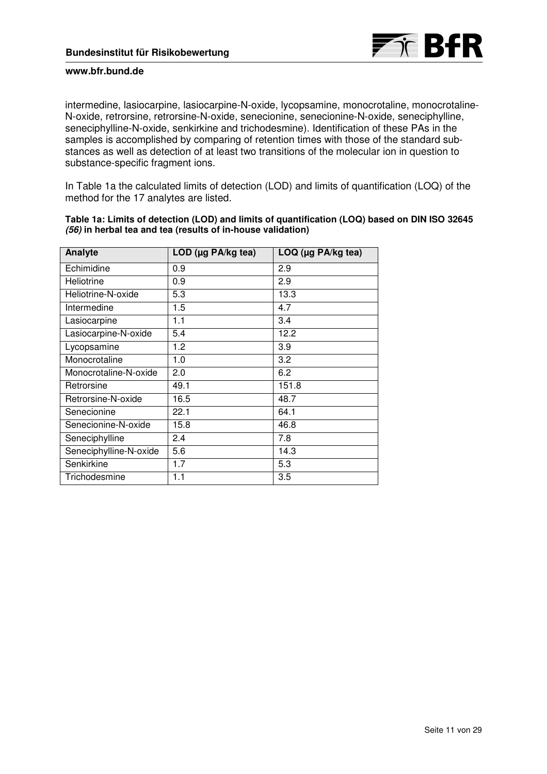

intermedine, lasiocarpine, lasiocarpine-N-oxide, lycopsamine, monocrotaline, monocrotaline-N-oxide, retrorsine, retrorsine-N-oxide, senecionine, senecionine-N-oxide, seneciphylline, seneciphylline-N-oxide, senkirkine and trichodesmine). Identification of these PAs in the samples is accomplished by comparing of retention times with those of the standard substances as well as detection of at least two transitions of the molecular ion in question to substance-specific fragment ions.

In Table 1a the calculated limits of detection (LOD) and limits of quantification (LOQ) of the method for the 17 analytes are listed.

| Analyte                | LOD ( $\mu$ g PA/kg tea) | $LOQ$ (µg PA/kg tea) |
|------------------------|--------------------------|----------------------|
| Echimidine             | 0.9                      | 2.9                  |
| Heliotrine             | 0.9                      | 2.9                  |
| Heliotrine-N-oxide     | 5.3                      | 13.3                 |
| Intermedine            | 1.5                      | 4.7                  |
| Lasiocarpine           | 1.1                      | 3.4                  |
| Lasiocarpine-N-oxide   | 5.4                      | 12.2                 |
| Lycopsamine            | 1.2                      | 3.9                  |
| Monocrotaline          | 1.0                      | 3.2                  |
| Monocrotaline-N-oxide  | 2.0                      | 6.2                  |
| Retrorsine             | 49.1                     | 151.8                |
| Retrorsine-N-oxide     | 16.5                     | 48.7                 |
| Senecionine            | 22.1                     | 64.1                 |
| Senecionine-N-oxide    | 15.8                     | 46.8                 |
| Seneciphylline         | 2.4                      | 7.8                  |
| Seneciphylline-N-oxide | 5.6                      | 14.3                 |
| Senkirkine             | 1.7                      | 5.3                  |
| Trichodesmine          | 1.1                      | 3.5                  |

**Table 1a: Limits of detection (LOD) and limits of quantification (LOQ) based on DIN ISO 32645 (56) in herbal tea and tea (results of in-house validation)**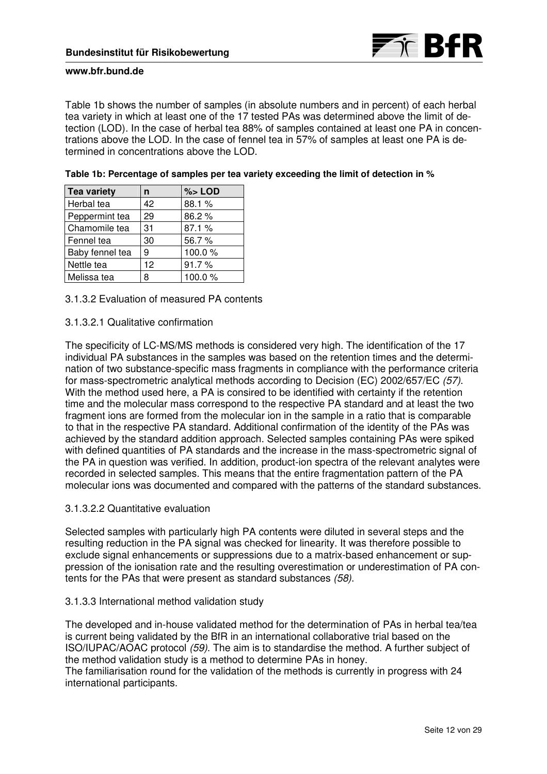

Table 1b shows the number of samples (in absolute numbers and in percent) of each herbal tea variety in which at least one of the 17 tested PAs was determined above the limit of detection (LOD). In the case of herbal tea 88% of samples contained at least one PA in concentrations above the LOD. In the case of fennel tea in 57% of samples at least one PA is determined in concentrations above the LOD.

| <b>Tea variety</b> | n  | $%$ LOD |
|--------------------|----|---------|
| Herbal tea         | 42 | 88.1 %  |
| Peppermint tea     | 29 | 86.2%   |
| Chamomile tea      | 31 | 87.1 %  |
| Fennel tea         | 30 | 56.7%   |
| Baby fennel tea    | 9  | 100.0%  |
| Nettle tea         | 12 | 91.7%   |
| Melissa tea        | 8  | 100.0%  |

| Table 1b: Percentage of samples per tea variety exceeding the limit of detection in % |  |  |  |
|---------------------------------------------------------------------------------------|--|--|--|
|---------------------------------------------------------------------------------------|--|--|--|

3.1.3.2 Evaluation of measured PA contents

### 3.1.3.2.1 Qualitative confirmation

The specificity of LC-MS/MS methods is considered very high. The identification of the 17 individual PA substances in the samples was based on the retention times and the determination of two substance-specific mass fragments in compliance with the performance criteria for mass-spectrometric analytical methods according to Decision (EC) 2002/657/EC (57). With the method used here, a PA is consired to be identified with certainty if the retention time and the molecular mass correspond to the respective PA standard and at least the two fragment ions are formed from the molecular ion in the sample in a ratio that is comparable to that in the respective PA standard. Additional confirmation of the identity of the PAs was achieved by the standard addition approach. Selected samples containing PAs were spiked with defined quantities of PA standards and the increase in the mass-spectrometric signal of the PA in question was verified. In addition, product-ion spectra of the relevant analytes were recorded in selected samples. This means that the entire fragmentation pattern of the PA molecular ions was documented and compared with the patterns of the standard substances.

### 3.1.3.2.2 Quantitative evaluation

Selected samples with particularly high PA contents were diluted in several steps and the resulting reduction in the PA signal was checked for linearity. It was therefore possible to exclude signal enhancements or suppressions due to a matrix-based enhancement or suppression of the ionisation rate and the resulting overestimation or underestimation of PA contents for the PAs that were present as standard substances (58).

#### 3.1.3.3 International method validation study

The developed and in-house validated method for the determination of PAs in herbal tea/tea is current being validated by the BfR in an international collaborative trial based on the ISO/IUPAC/AOAC protocol (59). The aim is to standardise the method. A further subject of the method validation study is a method to determine PAs in honey. The familiarisation round for the validation of the methods is currently in progress with 24 international participants.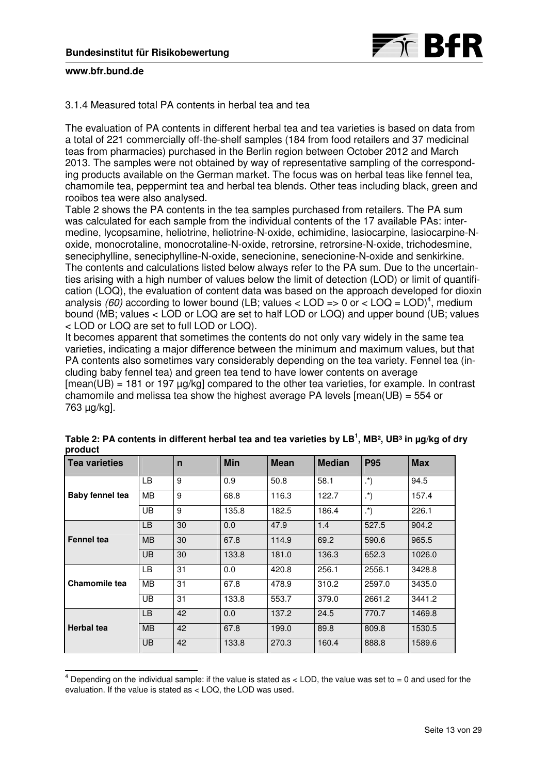

### 3.1.4 Measured total PA contents in herbal tea and tea

The evaluation of PA contents in different herbal tea and tea varieties is based on data from a total of 221 commercially off-the-shelf samples (184 from food retailers and 37 medicinal teas from pharmacies) purchased in the Berlin region between October 2012 and March 2013. The samples were not obtained by way of representative sampling of the corresponding products available on the German market. The focus was on herbal teas like fennel tea, chamomile tea, peppermint tea and herbal tea blends. Other teas including black, green and rooibos tea were also analysed.

Table 2 shows the PA contents in the tea samples purchased from retailers. The PA sum was calculated for each sample from the individual contents of the 17 available PAs: intermedine, lycopsamine, heliotrine, heliotrine-N-oxide, echimidine, lasiocarpine, lasiocarpine-Noxide, monocrotaline, monocrotaline-N-oxide, retrorsine, retrorsine-N-oxide, trichodesmine, seneciphylline, seneciphylline-N-oxide, senecionine, senecionine-N-oxide and senkirkine. The contents and calculations listed below always refer to the PA sum. Due to the uncertainties arising with a high number of values below the limit of detection (LOD) or limit of quantification (LOQ), the evaluation of content data was based on the approach developed for dioxin analysis (60) according to lower bound (LB; values < LOD => 0 or < LOQ = LOD)<sup>4</sup>, medium bound (MB; values < LOD or LOQ are set to half LOD or LOQ) and upper bound (UB; values < LOD or LOQ are set to full LOD or LOQ).

It becomes apparent that sometimes the contents do not only vary widely in the same tea varieties, indicating a major difference between the minimum and maximum values, but that PA contents also sometimes vary considerably depending on the tea variety. Fennel tea (including baby fennel tea) and green tea tend to have lower contents on average  $[mean(UB) = 181$  or 197  $\mu q$ /kg] compared to the other tea varieties, for example. In contrast chamomile and melissa tea show the highest average PA levels [mean(UB) = 554 or 763 µg/kg].

| <b>Tea varieties</b> |           | $\mathsf{n}$ | <b>Min</b> | <b>Mean</b> | <b>Median</b> | <b>P95</b>      | <b>Max</b> |
|----------------------|-----------|--------------|------------|-------------|---------------|-----------------|------------|
|                      | LВ        | 9            | 0.9        | 50.8        | 58.1          | $\cdot^{\ast}$  | 94.5       |
| Baby fennel tea      | MВ        | 9            | 68.8       | 116.3       | 122.7         | $\cdot^{\star}$ | 157.4      |
|                      | <b>UB</b> | 9            | 135.8      | 182.5       | 186.4         | $\cdot^{\star}$ | 226.1      |
|                      | LB.       | 30           | 0.0        | 47.9        | 1.4           | 527.5           | 904.2      |
| <b>Fennel tea</b>    | <b>MB</b> | 30           | 67.8       | 114.9       | 69.2          | 590.6           | 965.5      |
|                      | <b>UB</b> | 30           | 133.8      | 181.0       | 136.3         | 652.3           | 1026.0     |
|                      | LВ        | 31           | 0.0        | 420.8       | 256.1         | 2556.1          | 3428.8     |
| Chamomile tea        | <b>MB</b> | 31           | 67.8       | 478.9       | 310.2         | 2597.0          | 3435.0     |
|                      | UB        | 31           | 133.8      | 553.7       | 379.0         | 2661.2          | 3441.2     |
|                      | LB        | 42           | 0.0        | 137.2       | 24.5          | 770.7           | 1469.8     |
| <b>Herbal</b> tea    | <b>MB</b> | 42           | 67.8       | 199.0       | 89.8          | 809.8           | 1530.5     |
|                      | <b>UB</b> | 42           | 133.8      | 270.3       | 160.4         | 888.8           | 1589.6     |

| Table 2: PA contents in different herbal tea and tea varieties by LB <sup>1</sup> , MB <sup>2</sup> , UB <sup>3</sup> in µg/kg of dry |  |
|---------------------------------------------------------------------------------------------------------------------------------------|--|
| product                                                                                                                               |  |

 4 Depending on the individual sample: if the value is stated as < LOD, the value was set to = 0 and used for the evaluation. If the value is stated as < LOQ, the LOD was used.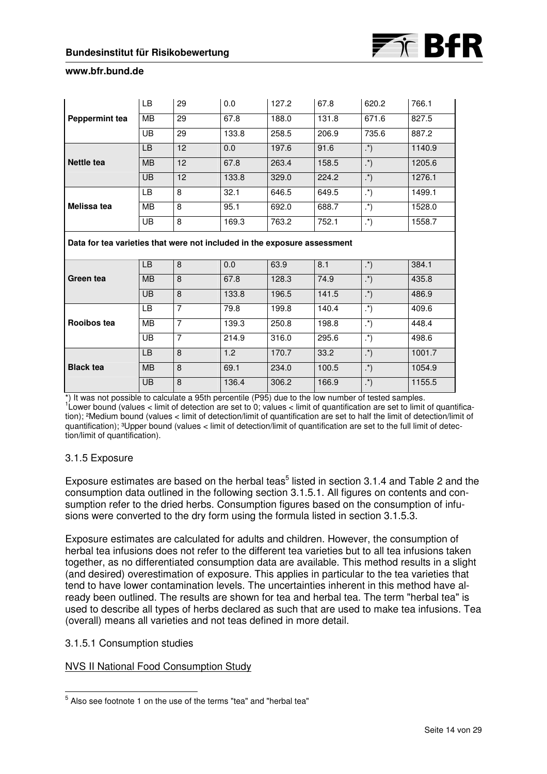| <b>Peppermint tea</b>                                                    | LB        | 29             | 0.0   | 127.2 | 67.8  | 620.2            | 766.1  |  |
|--------------------------------------------------------------------------|-----------|----------------|-------|-------|-------|------------------|--------|--|
|                                                                          | <b>MB</b> | 29             | 67.8  | 188.0 | 131.8 | 671.6            | 827.5  |  |
|                                                                          | UB        | 29             | 133.8 | 258.5 | 206.9 | 735.6            | 887.2  |  |
|                                                                          | <b>LB</b> | 12             | 0.0   | 197.6 | 91.6  | $\cdot^{\ast}$   | 1140.9 |  |
| Nettle tea                                                               | <b>MB</b> | 12             | 67.8  | 263.4 | 158.5 | $\cdot^{\ast}$   | 1205.6 |  |
|                                                                          | <b>UB</b> | 12             | 133.8 | 329.0 | 224.2 | $\cdot^{\ast}$   | 1276.1 |  |
|                                                                          | LB        | 8              | 32.1  | 646.5 | 649.5 | $\cdot^*)$       | 1499.1 |  |
| Melissa tea                                                              | <b>MB</b> | 8              | 95.1  | 692.0 | 688.7 | $\cdot^{\star}$  | 1528.0 |  |
|                                                                          | UB        | 8              | 169.3 | 763.2 | 752.1 | $\cdot^{\ast}$   | 1558.7 |  |
| Data for tea varieties that were not included in the exposure assessment |           |                |       |       |       |                  |        |  |
|                                                                          |           |                |       |       |       |                  |        |  |
|                                                                          | LB        | 8              | 0.0   | 63.9  | 8.1   | $\cdot^{\ast}$   | 384.1  |  |
| Green tea                                                                | <b>MB</b> | 8              | 67.8  | 128.3 | 74.9  | $\cdot^{\ast}$   | 435.8  |  |
|                                                                          | UB        | 8              | 133.8 | 196.5 | 141.5 | $\cdot^{\ast}$   | 486.9  |  |
|                                                                          | LB        | $\overline{7}$ | 79.8  | 199.8 | 140.4 | $\overline{(*)}$ | 409.6  |  |
| Rooibos tea                                                              | <b>MB</b> | $\overline{7}$ | 139.3 | 250.8 | 198.8 | $\cdot^{\ast}$   | 448.4  |  |
|                                                                          | UB        | $\overline{7}$ | 214.9 | 316.0 | 295.6 | $\cdot^{\star}$  | 498.6  |  |
|                                                                          | LB        | 8              | 1.2   | 170.7 | 33.2  | $\cdot^{\ast}$   | 1001.7 |  |
| <b>Black tea</b>                                                         | <b>MB</b> | 8              | 69.1  | 234.0 | 100.5 | $\cdot^{\ast}$   | 1054.9 |  |

\*) It was not possible to calculate a 95th percentile (P95) due to the low number of tested samples. 1 Lower bound (values < limit of detection are set to 0; values < limit of quantification are set to limit of quantifica-

tion); ²Medium bound (values < limit of detection/limit of quantification are set to half the limit of detection/limit of quantification); ³Upper bound (values < limit of detection/limit of quantification are set to the full limit of detection/limit of quantification).

# 3.1.5 Exposure

Exposure estimates are based on the herbal teas<sup>5</sup> listed in section 3.1.4 and Table 2 and the consumption data outlined in the following section 3.1.5.1. All figures on contents and consumption refer to the dried herbs. Consumption figures based on the consumption of infusions were converted to the dry form using the formula listed in section 3.1.5.3.

Exposure estimates are calculated for adults and children. However, the consumption of herbal tea infusions does not refer to the different tea varieties but to all tea infusions taken together, as no differentiated consumption data are available. This method results in a slight (and desired) overestimation of exposure. This applies in particular to the tea varieties that tend to have lower contamination levels. The uncertainties inherent in this method have already been outlined. The results are shown for tea and herbal tea. The term "herbal tea" is used to describe all types of herbs declared as such that are used to make tea infusions. Tea (overall) means all varieties and not teas defined in more detail.

# 3.1.5.1 Consumption studies

# NVS II National Food Consumption Study

 5 Also see footnote 1 on the use of the terms "tea" and "herbal tea"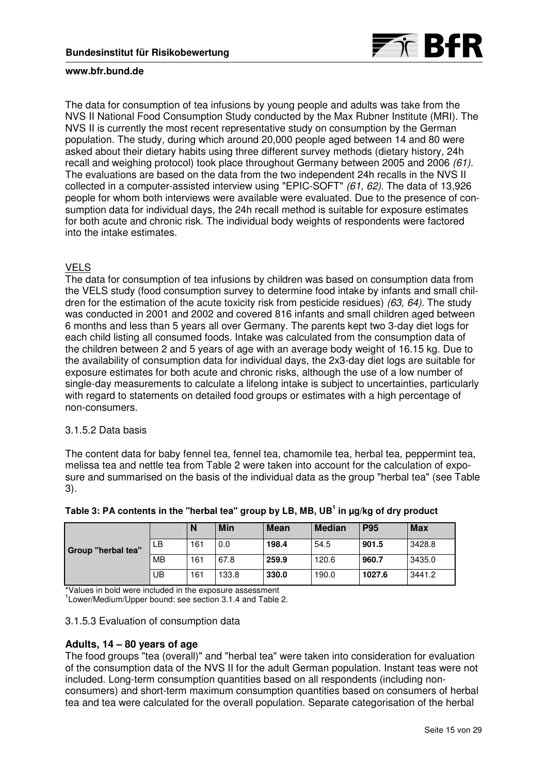

The data for consumption of tea infusions by young people and adults was take from the NVS II National Food Consumption Study conducted by the Max Rubner Institute (MRI). The NVS II is currently the most recent representative study on consumption by the German population. The study, during which around 20,000 people aged between 14 and 80 were asked about their dietary habits using three different survey methods (dietary history, 24h recall and weighing protocol) took place throughout Germany between 2005 and 2006 (61). The evaluations are based on the data from the two independent 24h recalls in the NVS II collected in a computer-assisted interview using "EPIC-SOFT" (61, 62). The data of 13,926 people for whom both interviews were available were evaluated. Due to the presence of consumption data for individual days, the 24h recall method is suitable for exposure estimates for both acute and chronic risk. The individual body weights of respondents were factored into the intake estimates.

# VELS

The data for consumption of tea infusions by children was based on consumption data from the VELS study (food consumption survey to determine food intake by infants and small children for the estimation of the acute toxicity risk from pesticide residues)  $(63, 64)$ . The study was conducted in 2001 and 2002 and covered 816 infants and small children aged between 6 months and less than 5 years all over Germany. The parents kept two 3-day diet logs for each child listing all consumed foods. Intake was calculated from the consumption data of the children between 2 and 5 years of age with an average body weight of 16.15 kg. Due to the availability of consumption data for individual days, the 2x3-day diet logs are suitable for exposure estimates for both acute and chronic risks, although the use of a low number of single-day measurements to calculate a lifelong intake is subject to uncertainties, particularly with regard to statements on detailed food groups or estimates with a high percentage of non-consumers.

### 3.1.5.2 Data basis

The content data for baby fennel tea, fennel tea, chamomile tea, herbal tea, peppermint tea, melissa tea and nettle tea from Table 2 were taken into account for the calculation of exposure and summarised on the basis of the individual data as the group "herbal tea" (see Table 3).

|                           |           | N   | Min   | <b>Mean</b> | <b>Median</b> | <b>P95</b> | <b>Max</b> |
|---------------------------|-----------|-----|-------|-------------|---------------|------------|------------|
| <b>Group "herbal tea"</b> | LB        | 161 | 0.0   | 198.4       | 54.5          | 901.5      | 3428.8     |
|                           | <b>MB</b> | 161 | 67.8  | 259.9       | 120.6         | 960.7      | 3435.0     |
|                           | UB        | 161 | 133.8 | 330.0       | 190.0         | 1027.6     | 3441.2     |

**Table 3: PA contents in the "herbal tea" group by LB, MB, UB<sup>1</sup> in µg/kg of dry product** 

\*Values in bold were included in the exposure assessment

<sup>1</sup> Lower/Medium/Upper bound: see section 3.1.4 and Table 2.

## 3.1.5.3 Evaluation of consumption data

### **Adults, 14 – 80 years of age**

The food groups "tea (overall)" and "herbal tea" were taken into consideration for evaluation of the consumption data of the NVS II for the adult German population. Instant teas were not included. Long-term consumption quantities based on all respondents (including nonconsumers) and short-term maximum consumption quantities based on consumers of herbal tea and tea were calculated for the overall population. Separate categorisation of the herbal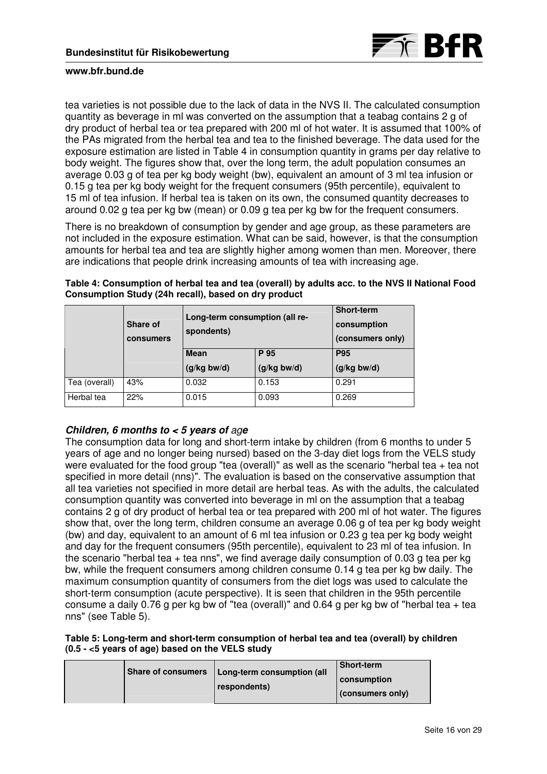

tea varieties is not possible due to the lack of data in the NVS II. The calculated consumption quantity as beverage in ml was converted on the assumption that a teabag contains 2 g of dry product of herbal tea or tea prepared with 200 ml of hot water. It is assumed that 100% of the PAs migrated from the herbal tea and tea to the finished beverage. The data used for the exposure estimation are listed in Table 4 in consumption quantity in grams per day relative to body weight. The figures show that, over the long term, the adult population consumes an average 0.03 g of tea per kg body weight (bw), equivalent an amount of 3 ml tea infusion or 0.15 g tea per kg body weight for the frequent consumers (95th percentile), equivalent to 15 ml of tea infusion. If herbal tea is taken on its own, the consumed quantity decreases to around 0.02 g tea per kg bw (mean) or 0.09 g tea per kg bw for the frequent consumers.

There is no breakdown of consumption by gender and age group, as these parameters are not included in the exposure estimation. What can be said, however, is that the consumption amounts for herbal tea and tea are slightly higher among women than men. Moreover, there are indications that people drink increasing amounts of tea with increasing age.

|               | Share of<br><b>consumers</b> | Long-term consumption (all re-<br>spondents) |               | <b>Short-term</b><br>consumption<br>(consumers only) |  |
|---------------|------------------------------|----------------------------------------------|---------------|------------------------------------------------------|--|
|               |                              | <b>Mean</b>                                  | P 95          |                                                      |  |
|               |                              | $(g/kg$ bw/d)                                | $(g/kg$ bw/d) | $(g/kg$ bw/d)                                        |  |
| Tea (overall) | 43%                          | 0.032                                        | 0.153         | 0.291                                                |  |
| Herbal tea    | 22%                          | 0.015                                        | 0.093         | 0.269                                                |  |

**Table 4: Consumption of herbal tea and tea (overall) by adults acc. to the NVS II National Food Consumption Study (24h recall), based on dry product** 

# **Children, 6 months to < 5 years of** ag**e**

The consumption data for long and short-term intake by children (from 6 months to under 5 years of age and no longer being nursed) based on the 3-day diet logs from the VELS study were evaluated for the food group "tea (overall)" as well as the scenario "herbal tea + tea not specified in more detail (nns)". The evaluation is based on the conservative assumption that all tea varieties not specified in more detail are herbal teas. As with the adults, the calculated consumption quantity was converted into beverage in ml on the assumption that a teabag contains 2 g of dry product of herbal tea or tea prepared with 200 ml of hot water. The figures show that, over the long term, children consume an average 0.06 g of tea per kg body weight (bw) and day, equivalent to an amount of 6 ml tea infusion or 0.23 g tea per kg body weight and day for the frequent consumers (95th percentile), equivalent to 23 ml of tea infusion. In the scenario "herbal tea + tea nns", we find average daily consumption of 0.03 g tea per kg bw, while the frequent consumers among children consume 0.14 g tea per kg bw daily. The maximum consumption quantity of consumers from the diet logs was used to calculate the short-term consumption (acute perspective). It is seen that children in the 95th percentile consume a daily 0.76 g per kg bw of "tea (overall)" and 0.64 g per kg bw of "herbal tea + tea nns" (see Table 5).

### **Table 5: Long-term and short-term consumption of herbal tea and tea (overall) by children (0.5 - <5 years of age) based on the VELS study**

| Share of consumers   Long-term consumption (all | <b>Short-term</b>  |
|-------------------------------------------------|--------------------|
| respondents)                                    | <b>consumption</b> |
|                                                 | (consumers only)   |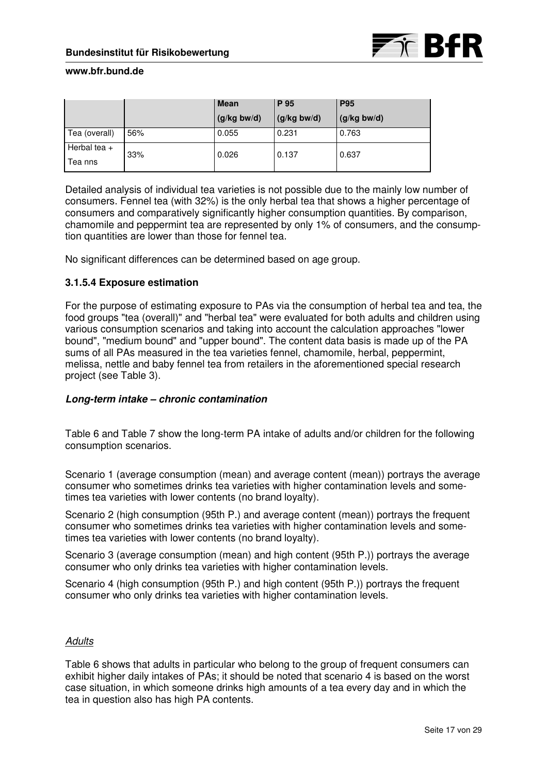|                |     | <b>Mean</b> | P 95          | <b>P95</b>    |
|----------------|-----|-------------|---------------|---------------|
|                |     | (g/kg bw/d) | $(g/kg$ bw/d) | $(g/kg$ bw/d) |
| Tea (overall)  | 56% | 0.055       | 0.231         | 0.763         |
| Herbal tea $+$ | 33% | 0.026       | 0.137         | 0.637         |
| Tea nns        |     |             |               |               |

Detailed analysis of individual tea varieties is not possible due to the mainly low number of consumers. Fennel tea (with 32%) is the only herbal tea that shows a higher percentage of consumers and comparatively significantly higher consumption quantities. By comparison, chamomile and peppermint tea are represented by only 1% of consumers, and the consumption quantities are lower than those for fennel tea.

No significant differences can be determined based on age group.

# **3.1.5.4 Exposure estimation**

For the purpose of estimating exposure to PAs via the consumption of herbal tea and tea, the food groups "tea (overall)" and "herbal tea" were evaluated for both adults and children using various consumption scenarios and taking into account the calculation approaches "lower bound", "medium bound" and "upper bound". The content data basis is made up of the PA sums of all PAs measured in the tea varieties fennel, chamomile, herbal, peppermint, melissa, nettle and baby fennel tea from retailers in the aforementioned special research project (see Table 3).

### **Long-term intake – chronic contamination**

Table 6 and Table 7 show the long-term PA intake of adults and/or children for the following consumption scenarios.

Scenario 1 (average consumption (mean) and average content (mean)) portrays the average consumer who sometimes drinks tea varieties with higher contamination levels and sometimes tea varieties with lower contents (no brand loyalty).

Scenario 2 (high consumption (95th P.) and average content (mean)) portrays the frequent consumer who sometimes drinks tea varieties with higher contamination levels and sometimes tea varieties with lower contents (no brand loyalty).

Scenario 3 (average consumption (mean) and high content (95th P.)) portrays the average consumer who only drinks tea varieties with higher contamination levels.

Scenario 4 (high consumption (95th P.) and high content (95th P.)) portrays the frequent consumer who only drinks tea varieties with higher contamination levels.

### **Adults**

Table 6 shows that adults in particular who belong to the group of frequent consumers can exhibit higher daily intakes of PAs; it should be noted that scenario 4 is based on the worst case situation, in which someone drinks high amounts of a tea every day and in which the tea in question also has high PA contents.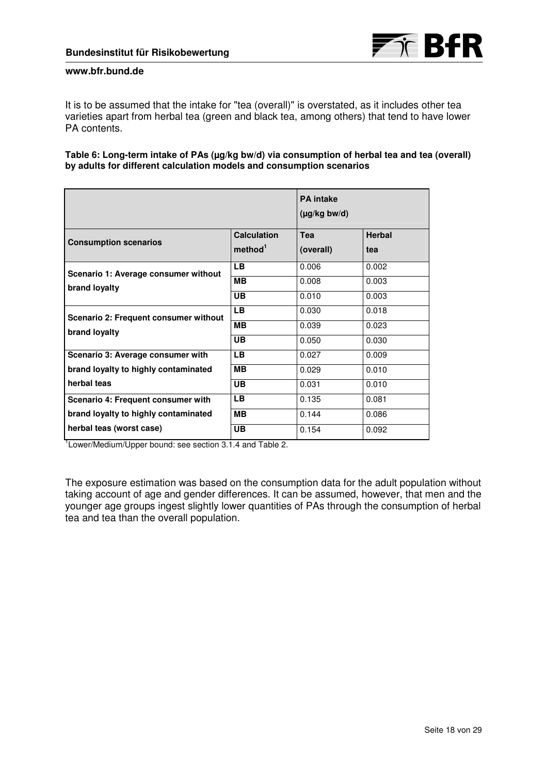

It is to be assumed that the intake for "tea (overall)" is overstated, as it includes other tea varieties apart from herbal tea (green and black tea, among others) that tend to have lower PA contents.

**Table 6: Long-term intake of PAs (µg/kg bw/d) via consumption of herbal tea and tea (overall) by adults for different calculation models and consumption scenarios** 

|                                       |                                           | <b>PA</b> intake<br>(µg/kg bw/d) |                      |
|---------------------------------------|-------------------------------------------|----------------------------------|----------------------|
| <b>Consumption scenarios</b>          | <b>Calculation</b><br>method <sup>1</sup> | Tea<br>(overall)                 | <b>Herbal</b><br>tea |
| Scenario 1: Average consumer without  | LB.                                       | 0.006                            | 0.002                |
| brand loyalty                         | <b>MB</b>                                 | 0.008                            | 0.003                |
|                                       | UB                                        | 0.010                            | 0.003                |
| Scenario 2: Frequent consumer without | LB.                                       | 0.030                            | 0.018                |
| brand loyalty                         | <b>MB</b>                                 | 0.039                            | 0.023                |
|                                       | <b>UB</b>                                 | 0.050                            | 0.030                |
| Scenario 3: Average consumer with     | LB.                                       | 0.027                            | 0.009                |
| brand loyalty to highly contaminated  | MВ                                        | 0.029                            | 0.010                |
| herbal teas                           | <b>UB</b>                                 | 0.031                            | 0.010                |
| Scenario 4: Frequent consumer with    | LВ                                        | 0.135                            | 0.081                |
| brand loyalty to highly contaminated  | <b>MB</b>                                 | 0.144                            | 0.086                |
| herbal teas (worst case)              | <b>UB</b>                                 | 0.154                            | 0.092                |

<sup>1</sup> Lower/Medium/Upper bound: see section 3.1.4 and Table 2.

The exposure estimation was based on the consumption data for the adult population without taking account of age and gender differences. It can be assumed, however, that men and the younger age groups ingest slightly lower quantities of PAs through the consumption of herbal tea and tea than the overall population.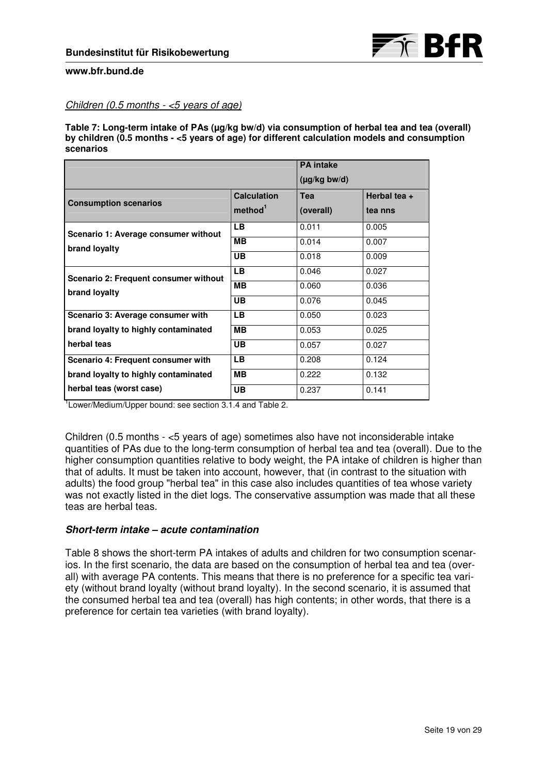

# Children (0.5 months  $-$  <5 years of age)

Table 7: Long-term intake of PAs (µg/kg bw/d) via consumption of herbal tea and tea (overall) **by children (0.5 months - <5 years of age) for different calculation models and consumption scenarios** 

|                                                        |                     | <b>PA</b> intake  |              |  |
|--------------------------------------------------------|---------------------|-------------------|--------------|--|
|                                                        |                     | $(\mu g/kg$ bw/d) |              |  |
|                                                        | <b>Calculation</b>  | Tea               | Herbal tea + |  |
| <b>Consumption scenarios</b>                           | method <sup>1</sup> | (overall)         | tea nns      |  |
| Scenario 1: Average consumer without<br>brand loyalty  | <b>LB</b>           | 0.011             | 0.005        |  |
|                                                        | <b>MB</b>           | 0.014             | 0.007        |  |
|                                                        | UB                  | 0.018             | 0.009        |  |
| Scenario 2: Frequent consumer without<br>brand loyalty | LВ                  | 0.046             | 0.027        |  |
|                                                        | <b>MB</b>           | 0.060             | 0.036        |  |
|                                                        | UB                  | 0.076             | 0.045        |  |
| Scenario 3: Average consumer with                      | <b>LB</b>           | 0.050             | 0.023        |  |
| brand loyalty to highly contaminated                   | <b>MB</b>           | 0.053             | 0.025        |  |
| herbal teas                                            | UB                  | 0.057             | 0.027        |  |
| Scenario 4: Frequent consumer with                     | <b>LB</b>           | 0.208             | 0.124        |  |
| brand loyalty to highly contaminated                   | <b>MB</b>           | 0.222             | 0.132        |  |
| herbal teas (worst case)                               | UB                  | 0.237             | 0.141        |  |

<sup>1</sup> Lower/Medium/Upper bound: see section 3.1.4 and Table 2.

Children (0.5 months - <5 years of age) sometimes also have not inconsiderable intake quantities of PAs due to the long-term consumption of herbal tea and tea (overall). Due to the higher consumption quantities relative to body weight, the PA intake of children is higher than that of adults. It must be taken into account, however, that (in contrast to the situation with adults) the food group "herbal tea" in this case also includes quantities of tea whose variety was not exactly listed in the diet logs. The conservative assumption was made that all these teas are herbal teas.

### **Short-term intake – acute contamination**

Table 8 shows the short-term PA intakes of adults and children for two consumption scenarios. In the first scenario, the data are based on the consumption of herbal tea and tea (overall) with average PA contents. This means that there is no preference for a specific tea variety (without brand loyalty (without brand loyalty). In the second scenario, it is assumed that the consumed herbal tea and tea (overall) has high contents; in other words, that there is a preference for certain tea varieties (with brand loyalty).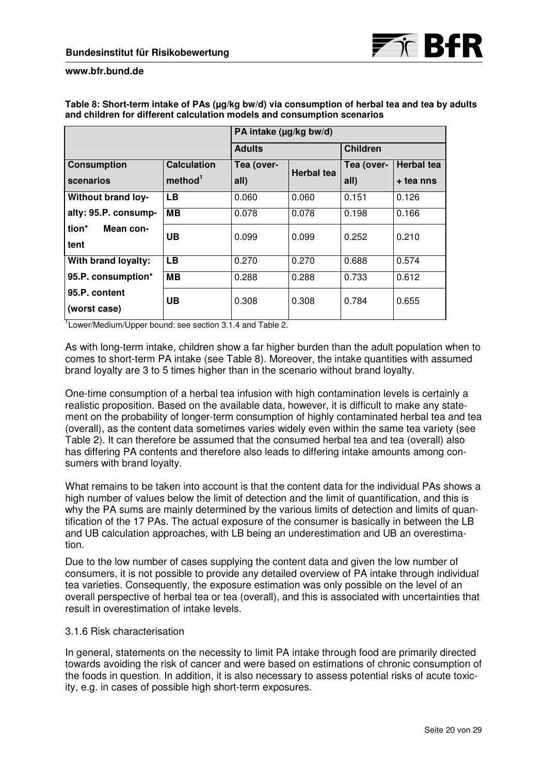|                               |                     | PA intake (µg/kg bw/d) |                   |                 |                   |
|-------------------------------|---------------------|------------------------|-------------------|-----------------|-------------------|
|                               |                     | <b>Adults</b>          |                   | <b>Children</b> |                   |
| <b>Consumption</b>            | <b>Calculation</b>  |                        |                   | Tea (over-      | <b>Herbal tea</b> |
| scenarios                     | method <sup>1</sup> | all)                   | <b>Herbal tea</b> | all)            | + tea nns         |
| <b>Without brand loy-</b>     | <b>LB</b>           | 0.060                  | 0.060             | 0.151           | 0.126             |
| alty: 95.P. consump-          | <b>MB</b>           | 0.078                  | 0.078             | 0.198           | 0.166             |
| tion*<br>Mean con-<br>tent    | <b>UB</b>           | 0.099                  | 0.099             | 0.252           | 0.210             |
| With brand loyalty:           | <b>LB</b>           | 0.270                  | 0.270             | 0.688           | 0.574             |
| 95.P. consumption*            | <b>MB</b>           | 0.288                  | 0.288             | 0.733           | 0.612             |
| 95.P. content<br>(worst case) | <b>UB</b>           | 0.308                  | 0.308             | 0.784           | 0.655             |

**Table 8: Short-term intake of PAs (µg/kg bw/d) via consumption of herbal tea and tea by adults and children for different calculation models and consumption scenarios** 

<sup>1</sup> Lower/Medium/Upper bound: see section 3.1.4 and Table 2.

As with long-term intake, children show a far higher burden than the adult population when to comes to short-term PA intake (see Table 8). Moreover, the intake quantities with assumed brand loyalty are 3 to 5 times higher than in the scenario without brand loyalty.

One-time consumption of a herbal tea infusion with high contamination levels is certainly a realistic proposition. Based on the available data, however, it is difficult to make any statement on the probability of longer-term consumption of highly contaminated herbal tea and tea (overall), as the content data sometimes varies widely even within the same tea variety (see Table 2). It can therefore be assumed that the consumed herbal tea and tea (overall) also has differing PA contents and therefore also leads to differing intake amounts among consumers with brand loyalty.

What remains to be taken into account is that the content data for the individual PAs shows a high number of values below the limit of detection and the limit of quantification, and this is why the PA sums are mainly determined by the various limits of detection and limits of quantification of the 17 PAs. The actual exposure of the consumer is basically in between the LB and UB calculation approaches, with LB being an underestimation and UB an overestimation.

Due to the low number of cases supplying the content data and given the low number of consumers, it is not possible to provide any detailed overview of PA intake through individual tea varieties. Consequently, the exposure estimation was only possible on the level of an overall perspective of herbal tea or tea (overall), and this is associated with uncertainties that result in overestimation of intake levels.

# 3.1.6 Risk characterisation

In general, statements on the necessity to limit PA intake through food are primarily directed towards avoiding the risk of cancer and were based on estimations of chronic consumption of the foods in question. In addition, it is also necessary to assess potential risks of acute toxicity, e.g. in cases of possible high short-term exposures.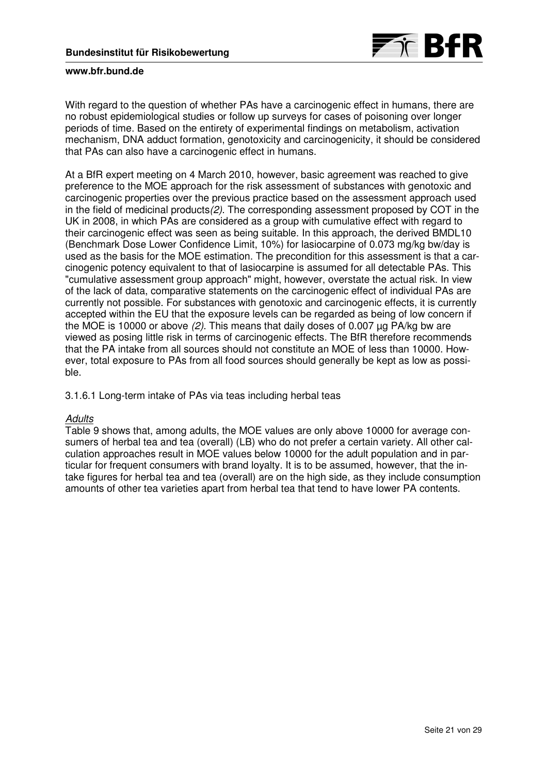

With regard to the question of whether PAs have a carcinogenic effect in humans, there are no robust epidemiological studies or follow up surveys for cases of poisoning over longer periods of time. Based on the entirety of experimental findings on metabolism, activation mechanism, DNA adduct formation, genotoxicity and carcinogenicity, it should be considered that PAs can also have a carcinogenic effect in humans.

At a BfR expert meeting on 4 March 2010, however, basic agreement was reached to give preference to the MOE approach for the risk assessment of substances with genotoxic and carcinogenic properties over the previous practice based on the assessment approach used in the field of medicinal products(2). The corresponding assessment proposed by COT in the UK in 2008, in which PAs are considered as a group with cumulative effect with regard to their carcinogenic effect was seen as being suitable. In this approach, the derived BMDL10 (Benchmark Dose Lower Confidence Limit, 10%) for lasiocarpine of 0.073 mg/kg bw/day is used as the basis for the MOE estimation. The precondition for this assessment is that a carcinogenic potency equivalent to that of lasiocarpine is assumed for all detectable PAs. This "cumulative assessment group approach" might, however, overstate the actual risk. In view of the lack of data, comparative statements on the carcinogenic effect of individual PAs are currently not possible. For substances with genotoxic and carcinogenic effects, it is currently accepted within the EU that the exposure levels can be regarded as being of low concern if the MOE is 10000 or above (2). This means that daily doses of 0.007 µg PA/kg bw are viewed as posing little risk in terms of carcinogenic effects. The BfR therefore recommends that the PA intake from all sources should not constitute an MOE of less than 10000. However, total exposure to PAs from all food sources should generally be kept as low as possible.

3.1.6.1 Long-term intake of PAs via teas including herbal teas

# **Adults**

Table 9 shows that, among adults, the MOE values are only above 10000 for average consumers of herbal tea and tea (overall) (LB) who do not prefer a certain variety. All other calculation approaches result in MOE values below 10000 for the adult population and in particular for frequent consumers with brand loyalty. It is to be assumed, however, that the intake figures for herbal tea and tea (overall) are on the high side, as they include consumption amounts of other tea varieties apart from herbal tea that tend to have lower PA contents.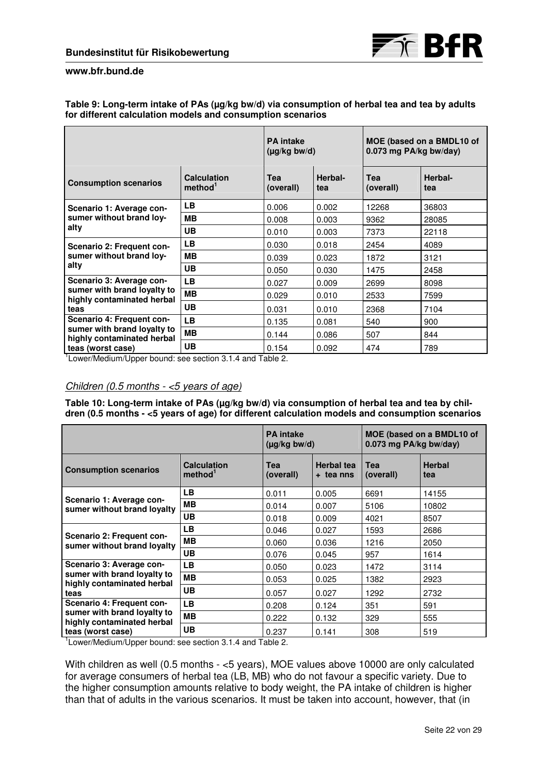

#### Table 9: Long-term intake of PAs (µg/kg bw/d) via consumption of herbal tea and tea by adults **for different calculation models and consumption scenarios**

|                                                                                                             |                                           | <b>PA</b> intake<br>$(\mu g/kg$ bw/d) |                | MOE (based on a BMDL10 of<br>0.073 mg PA/kg bw/day) |                |
|-------------------------------------------------------------------------------------------------------------|-------------------------------------------|---------------------------------------|----------------|-----------------------------------------------------|----------------|
| <b>Consumption scenarios</b>                                                                                | <b>Calculation</b><br>method <sup>1</sup> | <b>Tea</b><br>(overall)               | Herbal-<br>tea | <b>Tea</b><br>(overall)                             | Herbal-<br>tea |
| Scenario 1: Average con-<br>sumer without brand loy-<br>alty                                                | LB.                                       | 0.006                                 | 0.002          | 12268                                               | 36803          |
|                                                                                                             | <b>MB</b>                                 | 0.008                                 | 0.003          | 9362                                                | 28085          |
|                                                                                                             | <b>UB</b>                                 | 0.010                                 | 0.003          | 7373                                                | 22118          |
| Scenario 2: Frequent con-<br>sumer without brand loy-<br>alty                                               | <b>LB</b>                                 | 0.030                                 | 0.018          | 2454                                                | 4089           |
|                                                                                                             | <b>MB</b>                                 | 0.039                                 | 0.023          | 1872                                                | 3121           |
|                                                                                                             | <b>UB</b>                                 | 0.050                                 | 0.030          | 1475                                                | 2458           |
| Scenario 3: Average con-<br>sumer with brand loyalty to<br>highly contaminated herbal<br>teas               | LB.                                       | 0.027                                 | 0.009          | 2699                                                | 8098           |
|                                                                                                             | MВ                                        | 0.029                                 | 0.010          | 2533                                                | 7599           |
|                                                                                                             | <b>UB</b>                                 | 0.031                                 | 0.010          | 2368                                                | 7104           |
| Scenario 4: Frequent con-<br>sumer with brand loyalty to<br>highly contaminated herbal<br>teas (worst case) | LB.                                       | 0.135                                 | 0.081          | 540                                                 | 900            |
|                                                                                                             | <b>MB</b>                                 | 0.144                                 | 0.086          | 507                                                 | 844            |
|                                                                                                             | <b>UB</b>                                 | 0.154                                 | 0.092          | 474                                                 | 789            |

<sup>1</sup> Lower/Medium/Upper bound: see section 3.1.4 and Table 2.

# Children (0.5 months - <5 years of age)

Table 10: Long-term intake of PAs (µg/kg bw/d) via consumption of herbal tea and tea by chil**dren (0.5 months - <5 years of age) for different calculation models and consumption scenarios** 

|                                                                                                             |                                           | <b>PA</b> intake<br>$(\mu g/kg$ bw/d) |                                | MOE (based on a BMDL10 of<br>0.073 mg PA/kg bw/day) |                      |
|-------------------------------------------------------------------------------------------------------------|-------------------------------------------|---------------------------------------|--------------------------------|-----------------------------------------------------|----------------------|
| <b>Consumption scenarios</b>                                                                                | <b>Calculation</b><br>method <sup>1</sup> | Tea<br>(overall)                      | <b>Herbal tea</b><br>+ tea nns | <b>Tea</b><br>(overall)                             | <b>Herbal</b><br>tea |
| Scenario 1: Average con-<br>sumer without brand loyalty                                                     | <b>LB</b>                                 | 0.011                                 | 0.005                          | 6691                                                | 14155                |
|                                                                                                             | <b>MB</b>                                 | 0.014                                 | 0.007                          | 5106                                                | 10802                |
|                                                                                                             | <b>UB</b>                                 | 0.018                                 | 0.009                          | 4021                                                | 8507                 |
| Scenario 2: Frequent con-<br>sumer without brand loyalty                                                    | <b>LB</b>                                 | 0.046                                 | 0.027                          | 1593                                                | 2686                 |
|                                                                                                             | <b>MB</b>                                 | 0.060                                 | 0.036                          | 1216                                                | 2050                 |
|                                                                                                             | <b>UB</b>                                 | 0.076                                 | 0.045                          | 957                                                 | 1614                 |
| Scenario 3: Average con-<br>sumer with brand loyalty to<br>highly contaminated herbal<br>teas               | <b>LB</b>                                 | 0.050                                 | 0.023                          | 1472                                                | 3114                 |
|                                                                                                             | <b>MB</b>                                 | 0.053                                 | 0.025                          | 1382                                                | 2923                 |
|                                                                                                             | <b>UB</b>                                 | 0.057                                 | 0.027                          | 1292                                                | 2732                 |
| Scenario 4: Frequent con-<br>sumer with brand loyalty to<br>highly contaminated herbal<br>teas (worst case) | <b>LB</b>                                 | 0.208                                 | 0.124                          | 351                                                 | 591                  |
|                                                                                                             | <b>MB</b>                                 | 0.222                                 | 0.132                          | 329                                                 | 555                  |
|                                                                                                             | UB                                        | 0.237<br>.                            | 0.141                          | 308                                                 | 519                  |

<sup>1</sup> Lower/Medium/Upper bound: see section 3.1.4 and Table 2.

With children as well (0.5 months - <5 years), MOE values above 10000 are only calculated for average consumers of herbal tea (LB, MB) who do not favour a specific variety. Due to the higher consumption amounts relative to body weight, the PA intake of children is higher than that of adults in the various scenarios. It must be taken into account, however, that (in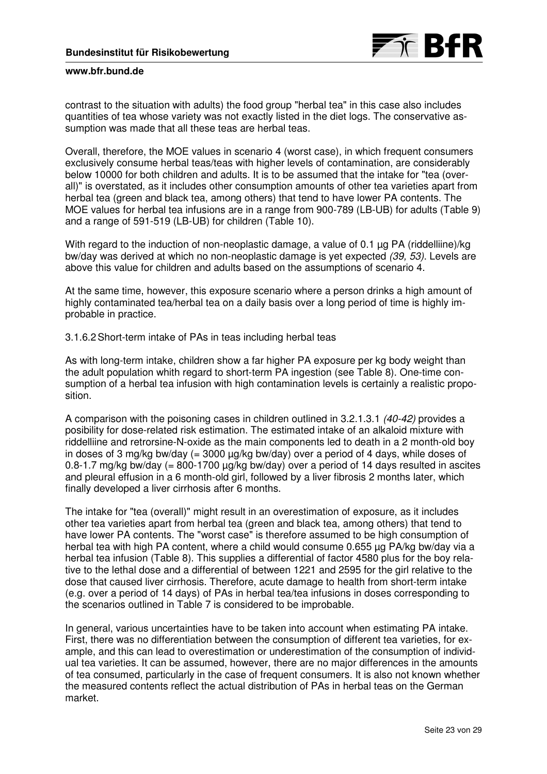

contrast to the situation with adults) the food group "herbal tea" in this case also includes quantities of tea whose variety was not exactly listed in the diet logs. The conservative assumption was made that all these teas are herbal teas.

Overall, therefore, the MOE values in scenario 4 (worst case), in which frequent consumers exclusively consume herbal teas/teas with higher levels of contamination, are considerably below 10000 for both children and adults. It is to be assumed that the intake for "tea (overall)" is overstated, as it includes other consumption amounts of other tea varieties apart from herbal tea (green and black tea, among others) that tend to have lower PA contents. The MOE values for herbal tea infusions are in a range from 900-789 (LB-UB) for adults (Table 9) and a range of 591-519 (LB-UB) for children (Table 10).

With regard to the induction of non-neoplastic damage, a value of 0.1 µg PA (riddelliine)/kg bw/day was derived at which no non-neoplastic damage is yet expected (39, 53). Levels are above this value for children and adults based on the assumptions of scenario 4.

At the same time, however, this exposure scenario where a person drinks a high amount of highly contaminated tea/herbal tea on a daily basis over a long period of time is highly improbable in practice.

3.1.6.2 Short-term intake of PAs in teas including herbal teas

As with long-term intake, children show a far higher PA exposure per kg body weight than the adult population whith regard to short-term PA ingestion (see Table 8). One-time consumption of a herbal tea infusion with high contamination levels is certainly a realistic proposition.

A comparison with the poisoning cases in children outlined in 3.2.1.3.1 (40-42) provides a posibility for dose-related risk estimation. The estimated intake of an alkaloid mixture with riddelliine and retrorsine-N-oxide as the main components led to death in a 2 month-old boy in doses of 3 mg/kg bw/day  $(= 3000 \mu g/kg$  bw/day) over a period of 4 days, while doses of 0.8-1.7 mg/kg bw/day (= 800-1700 µg/kg bw/day) over a period of 14 days resulted in ascites and pleural effusion in a 6 month-old girl, followed by a liver fibrosis 2 months later, which finally developed a liver cirrhosis after 6 months.

The intake for "tea (overall)" might result in an overestimation of exposure, as it includes other tea varieties apart from herbal tea (green and black tea, among others) that tend to have lower PA contents. The "worst case" is therefore assumed to be high consumption of herbal tea with high PA content, where a child would consume 0.655 µg PA/kg bw/day via a herbal tea infusion (Table 8). This supplies a differential of factor 4580 plus for the boy relative to the lethal dose and a differential of between 1221 and 2595 for the girl relative to the dose that caused liver cirrhosis. Therefore, acute damage to health from short-term intake (e.g. over a period of 14 days) of PAs in herbal tea/tea infusions in doses corresponding to the scenarios outlined in Table 7 is considered to be improbable.

In general, various uncertainties have to be taken into account when estimating PA intake. First, there was no differentiation between the consumption of different tea varieties, for example, and this can lead to overestimation or underestimation of the consumption of individual tea varieties. It can be assumed, however, there are no major differences in the amounts of tea consumed, particularly in the case of frequent consumers. It is also not known whether the measured contents reflect the actual distribution of PAs in herbal teas on the German market.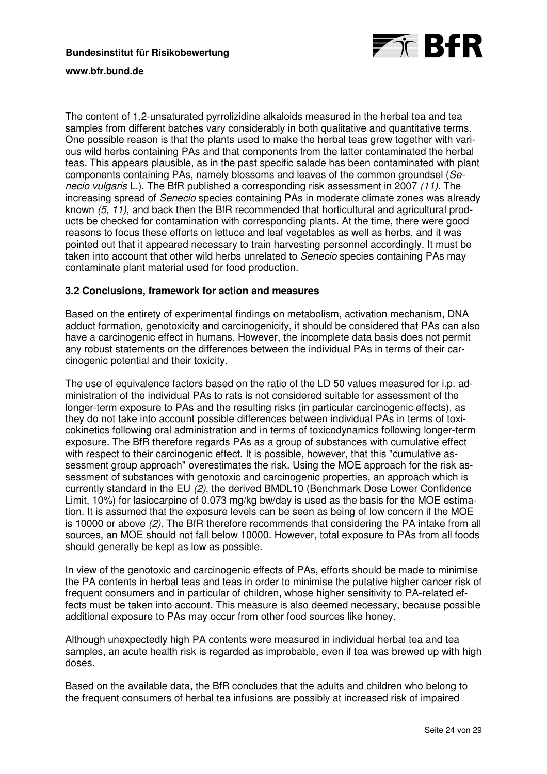

The content of 1,2-unsaturated pyrrolizidine alkaloids measured in the herbal tea and tea samples from different batches vary considerably in both qualitative and quantitative terms. One possible reason is that the plants used to make the herbal teas grew together with various wild herbs containing PAs and that components from the latter contaminated the herbal teas. This appears plausible, as in the past specific salade has been contaminated with plant components containing PAs, namely blossoms and leaves of the common groundsel (Senecio vulgaris L.). The BfR published a corresponding risk assessment in 2007 (11). The increasing spread of Senecio species containing PAs in moderate climate zones was already known (5, 11), and back then the BfR recommended that horticultural and agricultural products be checked for contamination with corresponding plants. At the time, there were good reasons to focus these efforts on lettuce and leaf vegetables as well as herbs, and it was pointed out that it appeared necessary to train harvesting personnel accordingly. It must be taken into account that other wild herbs unrelated to Senecio species containing PAs may contaminate plant material used for food production.

# **3.2 Conclusions, framework for action and measures**

Based on the entirety of experimental findings on metabolism, activation mechanism, DNA adduct formation, genotoxicity and carcinogenicity, it should be considered that PAs can also have a carcinogenic effect in humans. However, the incomplete data basis does not permit any robust statements on the differences between the individual PAs in terms of their carcinogenic potential and their toxicity.

The use of equivalence factors based on the ratio of the LD 50 values measured for i.p. administration of the individual PAs to rats is not considered suitable for assessment of the longer-term exposure to PAs and the resulting risks (in particular carcinogenic effects), as they do not take into account possible differences between individual PAs in terms of toxicokinetics following oral administration and in terms of toxicodynamics following longer-term exposure. The BfR therefore regards PAs as a group of substances with cumulative effect with respect to their carcinogenic effect. It is possible, however, that this "cumulative assessment group approach" overestimates the risk. Using the MOE approach for the risk assessment of substances with genotoxic and carcinogenic properties, an approach which is currently standard in the EU (2), the derived BMDL10 (Benchmark Dose Lower Confidence Limit, 10%) for lasiocarpine of 0.073 mg/kg bw/day is used as the basis for the MOE estimation. It is assumed that the exposure levels can be seen as being of low concern if the MOE is 10000 or above (2). The BfR therefore recommends that considering the PA intake from all sources, an MOE should not fall below 10000. However, total exposure to PAs from all foods should generally be kept as low as possible.

In view of the genotoxic and carcinogenic effects of PAs, efforts should be made to minimise the PA contents in herbal teas and teas in order to minimise the putative higher cancer risk of frequent consumers and in particular of children, whose higher sensitivity to PA-related effects must be taken into account. This measure is also deemed necessary, because possible additional exposure to PAs may occur from other food sources like honey.

Although unexpectedly high PA contents were measured in individual herbal tea and tea samples, an acute health risk is regarded as improbable, even if tea was brewed up with high doses.

Based on the available data, the BfR concludes that the adults and children who belong to the frequent consumers of herbal tea infusions are possibly at increased risk of impaired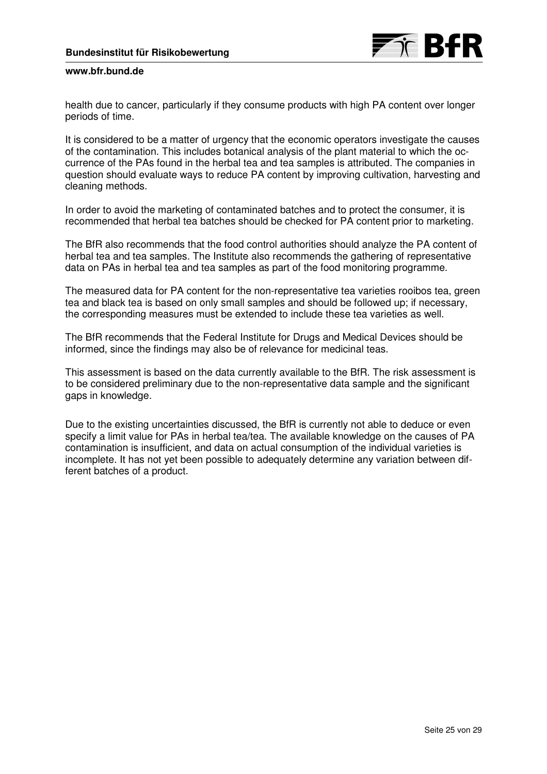

health due to cancer, particularly if they consume products with high PA content over longer periods of time.

It is considered to be a matter of urgency that the economic operators investigate the causes of the contamination. This includes botanical analysis of the plant material to which the occurrence of the PAs found in the herbal tea and tea samples is attributed. The companies in question should evaluate ways to reduce PA content by improving cultivation, harvesting and cleaning methods.

In order to avoid the marketing of contaminated batches and to protect the consumer, it is recommended that herbal tea batches should be checked for PA content prior to marketing.

The BfR also recommends that the food control authorities should analyze the PA content of herbal tea and tea samples. The Institute also recommends the gathering of representative data on PAs in herbal tea and tea samples as part of the food monitoring programme.

The measured data for PA content for the non-representative tea varieties rooibos tea, green tea and black tea is based on only small samples and should be followed up; if necessary, the corresponding measures must be extended to include these tea varieties as well.

The BfR recommends that the Federal Institute for Drugs and Medical Devices should be informed, since the findings may also be of relevance for medicinal teas.

This assessment is based on the data currently available to the BfR. The risk assessment is to be considered preliminary due to the non-representative data sample and the significant gaps in knowledge.

Due to the existing uncertainties discussed, the BfR is currently not able to deduce or even specify a limit value for PAs in herbal tea/tea. The available knowledge on the causes of PA contamination is insufficient, and data on actual consumption of the individual varieties is incomplete. It has not yet been possible to adequately determine any variation between different batches of a product.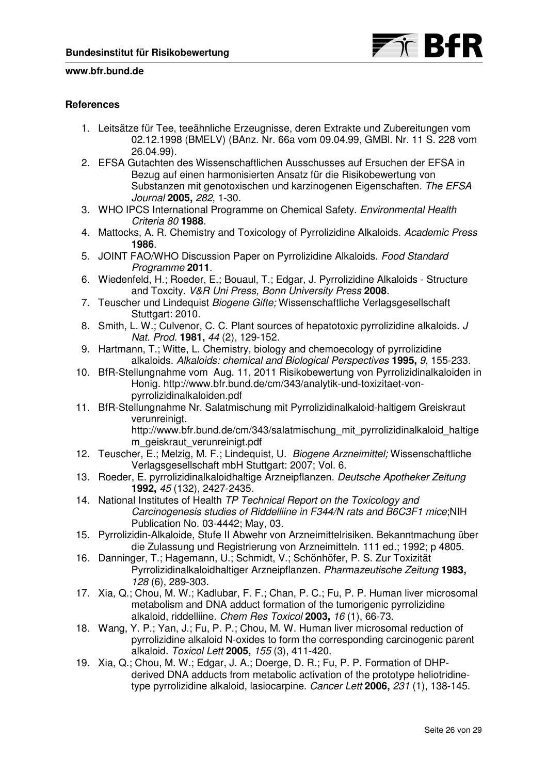

# **References**

- 1. Leitsätze für Tee, teeähnliche Erzeugnisse, deren Extrakte und Zubereitungen vom 02.12.1998 (BMELV) (BAnz. Nr. 66a vom 09.04.99, GMBl. Nr. 11 S. 228 vom 26.04.99).
- 2. EFSA Gutachten des Wissenschaftlichen Ausschusses auf Ersuchen der EFSA in Bezug auf einen harmonisierten Ansatz für die Risikobewertung von Substanzen mit genotoxischen und karzinogenen Eigenschaften. The EFSA Journal **2005,** 282, 1-30.
- 3. WHO IPCS International Programme on Chemical Safety. Environmental Health Criteria 80 **1988**.
- 4. Mattocks, A. R. Chemistry and Toxicology of Pyrrolizidine Alkaloids. Academic Press **1986**.
- 5. JOINT FAO/WHO Discussion Paper on Pyrrolizidine Alkaloids. Food Standard Programme **2011**.
- 6. Wiedenfeld, H.; Roeder, E.; Bouaul, T.; Edgar, J. Pyrrolizidine Alkaloids Structure and Toxcity. V&R Uni Press, Bonn University Press **2008**.
- 7. Teuscher und Lindequist Biogene Gifte; Wissenschaftliche Verlagsgesellschaft Stuttgart: 2010.
- 8. Smith, L. W.; Culvenor, C. C. Plant sources of hepatotoxic pyrrolizidine alkaloids. J Nat. Prod. **1981,** 44 (2), 129-152.
- 9. Hartmann, T.; Witte, L. Chemistry, biology and chemoecology of pyrrolizidine alkaloids. Alkaloids: chemical and Biological Perspectives **1995,** 9, 155-233.
- 10. BfR-Stellungnahme vom Aug. 11, 2011 Risikobewertung von Pyrrolizidinalkaloiden in Honig. http://www.bfr.bund.de/cm/343/analytik-und-toxizitaet-vonpyrrolizidinalkaloiden.pdf
- 11. BfR-Stellungnahme Nr. Salatmischung mit Pyrrolizidinalkaloid-haltigem Greiskraut verunreinigt. http://www.bfr.bund.de/cm/343/salatmischung\_mit\_pyrrolizidinalkaloid\_haltige
- m\_geiskraut\_verunreinigt.pdf 12. Teuscher, E.; Melzig, M. F.; Lindequist, U. Biogene Arzneimittel; Wissenschaftliche Verlagsgesellschaft mbH Stuttgart: 2007; Vol. 6.
- 13. Roeder, E. pyrrolizidinalkaloidhaltige Arzneipflanzen. Deutsche Apotheker Zeitung **1992,** 45 (132), 2427-2435.
- 14. National Institutes of Health TP Technical Report on the Toxicology and Carcinogenesis studies of Riddelliine in F344/N rats and B6C3F1 mice;NIH Publication No. 03-4442; May, 03.
- 15. Pyrrolizidin-Alkaloide, Stufe II Abwehr von Arzneimittelrisiken. Bekanntmachung über die Zulassung und Registrierung von Arzneimitteln. 111 ed.; 1992; p 4805.
- 16. Danninger, T.; Hagemann, U.; Schmidt, V.; Schönhöfer, P. S. Zur Toxizität Pyrrolizidinalkaloidhaltiger Arzneipflanzen. Pharmazeutische Zeitung **1983,** 128 (6), 289-303.
- 17. Xia, Q.; Chou, M. W.; Kadlubar, F. F.; Chan, P. C.; Fu, P. P. Human liver microsomal metabolism and DNA adduct formation of the tumorigenic pyrrolizidine alkaloid, riddelliine. Chem Res Toxicol **2003,** 16 (1), 66-73.
- 18. Wang, Y. P.; Yan, J.; Fu, P. P.; Chou, M. W. Human liver microsomal reduction of pyrrolizidine alkaloid N-oxides to form the corresponding carcinogenic parent alkaloid. Toxicol Lett **2005,** 155 (3), 411-420.
- 19. Xia, Q.; Chou, M. W.; Edgar, J. A.; Doerge, D. R.; Fu, P. P. Formation of DHPderived DNA adducts from metabolic activation of the prototype heliotridinetype pyrrolizidine alkaloid, lasiocarpine. Cancer Lett **2006,** 231 (1), 138-145.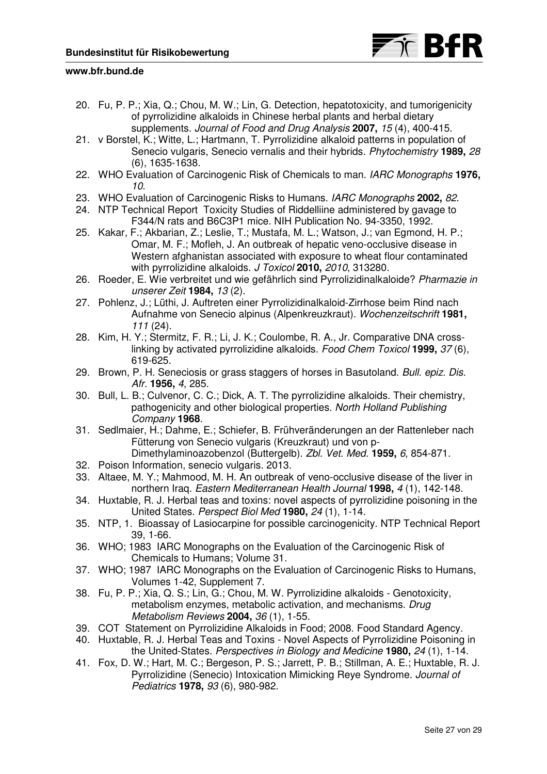



- 20. Fu, P. P.; Xia, Q.; Chou, M. W.; Lin, G. Detection, hepatotoxicity, and tumorigenicity of pyrrolizidine alkaloids in Chinese herbal plants and herbal dietary supplements. Journal of Food and Drug Analysis **2007,** 15 (4), 400-415.
- 21. v Borstel, K.; Witte, L.; Hartmann, T. Pyrrolizidine alkaloid patterns in population of Senecio vulgaris, Senecio vernalis and their hybrids. Phytochemistry **1989,** 28 (6), 1635-1638.
- 22. WHO Evaluation of Carcinogenic Risk of Chemicals to man. IARC Monographs **1976,** 10.
- 23. WHO Evaluation of Carcinogenic Risks to Humans. IARC Monographs **2002,** 82.
- 24. NTP Technical Report Toxicity Studies of Riddelliine administered by gavage to F344/N rats and B6C3P1 mice. NIH Publication No. 94-3350, 1992.
- 25. Kakar, F.; Akbarian, Z.; Leslie, T.; Mustafa, M. L.; Watson, J.; van Egmond, H. P.; Omar, M. F.; Mofleh, J. An outbreak of hepatic veno-occlusive disease in Western afghanistan associated with exposure to wheat flour contaminated with pyrrolizidine alkaloids. J Toxicol **2010,** 2010, 313280.
- 26. Roeder, E. Wie verbreitet und wie gefährlich sind Pyrrolizidinalkaloide? Pharmazie in unserer Zeit **1984,** 13 (2).
- 27. Pohlenz, J.; Lüthi, J. Auftreten einer Pyrrolizidinalkaloid-Zirrhose beim Rind nach Aufnahme von Senecio alpinus (Alpenkreuzkraut). Wochenzeitschrift **1981,** 111 (24).
- 28. Kim, H. Y.; Stermitz, F. R.; Li, J. K.; Coulombe, R. A., Jr. Comparative DNA crosslinking by activated pyrrolizidine alkaloids. Food Chem Toxicol **1999,** 37 (6), 619-625.
- 29. Brown, P. H. Seneciosis or grass staggers of horses in Basutoland. Bull. epiz. Dis. Afr. **1956,** 4, 285.
- 30. Bull, L. B.; Culvenor, C. C.; Dick, A. T. The pyrrolizidine alkaloids. Their chemistry, pathogenicity and other biological properties. North Holland Publishing Company **1968**.
- 31. Sedlmaier, H.; Dahme, E.; Schiefer, B. Frühveränderungen an der Rattenleber nach Fütterung von Senecio vulgaris (Kreuzkraut) und von p-Dimethylaminoazobenzol (Buttergelb). Zbl. Vet. Med. **1959,** 6, 854-871.
- 32. Poison Information, senecio vulgaris. 2013.
- 33. Altaee, M. Y.; Mahmood, M. H. An outbreak of veno-occlusive disease of the liver in northern Iraq. Eastern Mediterranean Health Journal **1998,** 4 (1), 142-148.
- 34. Huxtable, R. J. Herbal teas and toxins: novel aspects of pyrrolizidine poisoning in the United States. Perspect Biol Med **1980,** 24 (1), 1-14.
- 35. NTP, 1. Bioassay of Lasiocarpine for possible carcinogenicity. NTP Technical Report 39, 1-66.
- 36. WHO; 1983 IARC Monographs on the Evaluation of the Carcinogenic Risk of Chemicals to Humans; Volume 31.
- 37. WHO; 1987 IARC Monographs on the Evaluation of Carcinogenic Risks to Humans, Volumes 1-42, Supplement 7.
- 38. Fu, P. P.; Xia, Q. S.; Lin, G.; Chou, M. W. Pyrrolizidine alkaloids Genotoxicity, metabolism enzymes, metabolic activation, and mechanisms. Drug Metabolism Reviews **2004,** 36 (1), 1-55.
- 39. COT Statement on Pyrrolizidine Alkaloids in Food; 2008. Food Standard Agency.
- 40. Huxtable, R. J. Herbal Teas and Toxins Novel Aspects of Pyrrolizidine Poisoning in the United-States. Perspectives in Biology and Medicine **1980,** 24 (1), 1-14.
- 41. Fox, D. W.; Hart, M. C.; Bergeson, P. S.; Jarrett, P. B.; Stillman, A. E.; Huxtable, R. J. Pyrrolizidine (Senecio) Intoxication Mimicking Reye Syndrome. Journal of Pediatrics **1978,** 93 (6), 980-982.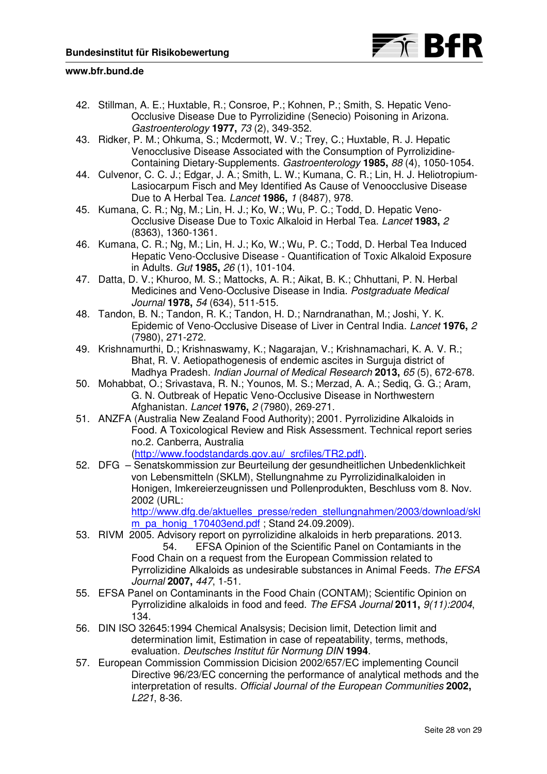

- 42. Stillman, A. E.; Huxtable, R.; Consroe, P.; Kohnen, P.; Smith, S. Hepatic Veno-Occlusive Disease Due to Pyrrolizidine (Senecio) Poisoning in Arizona. Gastroenterology **1977,** 73 (2), 349-352.
- 43. Ridker, P. M.; Ohkuma, S.; Mcdermott, W. V.; Trey, C.; Huxtable, R. J. Hepatic Venocclusive Disease Associated with the Consumption of Pyrrolizidine-Containing Dietary-Supplements. Gastroenterology **1985,** 88 (4), 1050-1054.
- 44. Culvenor, C. C. J.; Edgar, J. A.; Smith, L. W.; Kumana, C. R.; Lin, H. J. Heliotropium-Lasiocarpum Fisch and Mey Identified As Cause of Venoocclusive Disease Due to A Herbal Tea. Lancet **1986,** 1 (8487), 978.
- 45. Kumana, C. R.; Ng, M.; Lin, H. J.; Ko, W.; Wu, P. C.; Todd, D. Hepatic Veno-Occlusive Disease Due to Toxic Alkaloid in Herbal Tea. Lancet **1983,** 2 (8363), 1360-1361.
- 46. Kumana, C. R.; Ng, M.; Lin, H. J.; Ko, W.; Wu, P. C.; Todd, D. Herbal Tea Induced Hepatic Veno-Occlusive Disease - Quantification of Toxic Alkaloid Exposure in Adults. Gut **1985,** 26 (1), 101-104.
- 47. Datta, D. V.; Khuroo, M. S.; Mattocks, A. R.; Aikat, B. K.; Chhuttani, P. N. Herbal Medicines and Veno-Occlusive Disease in India. Postgraduate Medical Journal **1978,** 54 (634), 511-515.
- 48. Tandon, B. N.; Tandon, R. K.; Tandon, H. D.; Narndranathan, M.; Joshi, Y. K. Epidemic of Veno-Occlusive Disease of Liver in Central India. Lancet **1976,** 2 (7980), 271-272.
- 49. Krishnamurthi, D.; Krishnaswamy, K.; Nagarajan, V.; Krishnamachari, K. A. V. R.; Bhat, R. V. Aetiopathogenesis of endemic ascites in Surguja district of Madhya Pradesh. Indian Journal of Medical Research **2013,** 65 (5), 672-678.
- 50. Mohabbat, O.; Srivastava, R. N.; Younos, M. S.; Merzad, A. A.; Sediq, G. G.; Aram, G. N. Outbreak of Hepatic Veno-Occlusive Disease in Northwestern Afghanistan. Lancet **1976,** 2 (7980), 269-271.
- 51. ANZFA (Australia New Zealand Food Authority); 2001. Pyrrolizidine Alkaloids in Food. A Toxicological Review and Risk Assessment. Technical report series no.2. Canberra, Australia (http://www.foodstandards.gov.au/\_srcfiles/TR2.pdf).
- 52. DFG Senatskommission zur Beurteilung der gesundheitlichen Unbedenklichkeit von Lebensmitteln (SKLM), Stellungnahme zu Pyrrolizidinalkaloiden in Honigen, Imkereierzeugnissen und Pollenprodukten, Beschluss vom 8. Nov. 2002 (URL:

http://www.dfg.de/aktuelles\_presse/reden\_stellungnahmen/2003/download/skl m\_pa\_honig\_170403end.pdf ; Stand 24.09.2009).

- 53. RIVM 2005. Advisory report on pyrrolizidine alkaloids in herb preparations. 2013. 54. EFSA Opinion of the Scientific Panel on Contamiants in the Food Chain on a request from the European Commission related to Pyrrolizidine Alkaloids as undesirable substances in Animal Feeds. The EFSA Journal **2007,** 447, 1-51.
- 55. EFSA Panel on Contaminants in the Food Chain (CONTAM); Scientific Opinion on Pyrrolizidine alkaloids in food and feed. The EFSA Journal **2011,** 9(11):2004, 134.
- 56. DIN ISO 32645:1994 Chemical Analsysis; Decision limit, Detection limit and determination limit, Estimation in case of repeatability, terms, methods, evaluation. Deutsches Institut für Normung DIN **1994**.
- 57. European Commission Commission Dicision 2002/657/EC implementing Council Directive 96/23/EC concerning the performance of analytical methods and the interpretation of results. Official Journal of the European Communities **2002,** L221, 8-36.